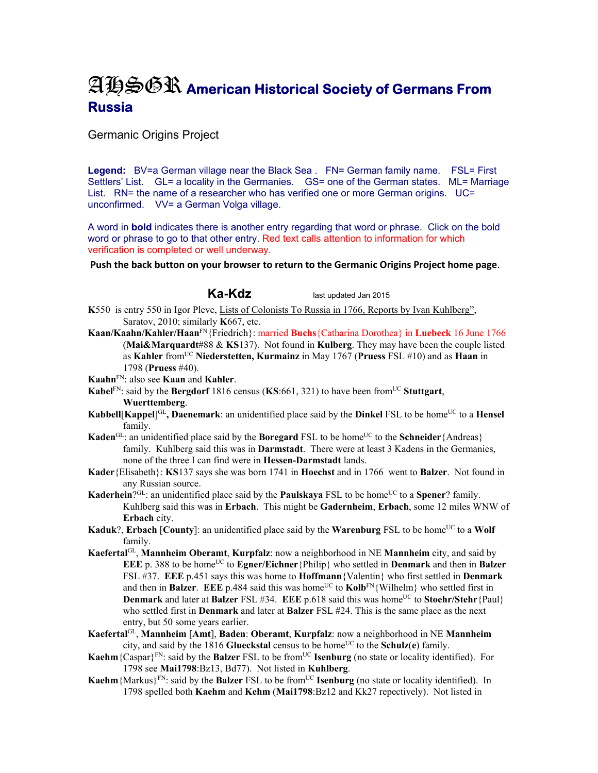# AHSGR **American Historical Society of Germans From Russia**

## Germanic Origins Project

**Legend:** BV=a German village near the Black Sea . FN= German family name. FSL= First Settlers' List. GL= a locality in the Germanies. GS= one of the German states. ML= Marriage List. RN= the name of a researcher who has verified one or more German origins. UC= unconfirmed. VV= a German Volga village.

A word in **bold** indicates there is another entry regarding that word or phrase. Click on the bold word or phrase to go to that other entry. Red text calls attention to information for which verification is completed or well underway.

**Push the back button on your browser to return to the Germanic Origins Project home page**.

**Ka-Kdz** last updated Jan 2015

- **K**550 is entry 550 in Igor Pleve, Lists of Colonists To Russia in 1766, Reports by Ivan Kuhlberg", Saratov, 2010; similarly **K**667, etc.
- **Kaan/Kaahn/Kahler/Haan**FN{Friedrich}: married **Buchs**{Catharina Dorothea} in **Luebeck** 16 June 1766 (**Mai&Marquardt**#88 & **KS**137). Not found in **Kulberg**. They may have been the couple listed as **Kahler** fromUC **Niederstetten, Kurmainz** in May 1767 (**Pruess** FSL #10) and as **Haan** in 1798 (**Pruess** #40).

**Kaahn**FN: also see **Kaan** and **Kahler**.

- **Kabel<sup>FN</sup>: said by the Bergdorf** 1816 census (**KS**:661, 321) to have been from<sup>UC</sup> Stuttgart, **Wuerttemberg**.
- **Kabbell** [**Kappel**]<sup>GL</sup>, **Daenemark**: an unidentified place said by the **Dinkel** FSL to be home<sup>UC</sup> to a **Hensel** family.
- **Kaden**<sup>GL</sup>: an unidentified place said by the **Boregard** FSL to be home<sup>UC</sup> to the **Schneider** {Andreas} family. Kuhlberg said this was in **Darmstadt**. There were at least 3 Kadens in the Germanies, none of the three I can find were in **Hessen-Darmstadt** lands.
- **Kader**{Elisabeth}: **KS**137 says she was born 1741 in **Hoechst** and in 1766 went to **Balzer**. Not found in any Russian source.
- **Kaderhein**?GL: an unidentified place said by the **Paulskaya** FSL to be home<sup>UC</sup> to a **Spener**? family. Kuhlberg said this was in **Erbach**. This might be **Gadernheim**, **Erbach**, some 12 miles WNW of **Erbach** city.
- **Kaduk**?, **Erbach** [**County**]: an unidentified place said by the **Warenburg** FSL to be home<sup>UC</sup> to a **Wolf** family.
- **Kaefertal**GL, **Mannheim Oberamt**, **Kurpfalz**: now a neighborhood in NE **Mannheim** city, and said by **EEE** p. 388 to be home<sup>UC</sup> to **Egner/Eichner** {Philip} who settled in **Denmark** and then in **Balzer** FSL #37. **EEE** p.451 says this was home to **Hoffmann**{Valentin} who first settled in **Denmark** and then in **Balzer**. **EEE** p.484 said this was home<sup>UC</sup> to **Kolb**<sup>FN</sup>{Wilhelm} who settled first in **Denmark** and later at **Balzer** FSL #34. **EEE** p.618 said this was home<sup>UC</sup> to **Stoehr/Stehr**{Paul} who settled first in **Denmark** and later at **Balzer** FSL #24. This is the same place as the next entry, but 50 some years earlier.
- **Kaefertal**GL, **Mannheim** [**Amt**], **Baden**: **Oberamt**, **Kurpfalz**: now a neighborhood in NE **Mannheim** city, and said by the 1816 **Glueckstal** census to be home<sup>UC</sup> to the **Schulz**(**e**) family.
- **Kaehm**{Caspar}<sup>FN</sup>: said by the **Balzer** FSL to be from<sup>UC</sup> **Isenburg** (no state or locality identified). For 1798 see **Mai1798**:Bz13, Bd77). Not listed in **Kuhlberg**.
- **Kaehm** {Markus}<sup>FN</sup>: said by the **Balzer** FSL to be from<sup>UC</sup> **Isenburg** (no state or locality identified). In 1798 spelled both **Kaehm** and **Kehm** (**Mai1798**:Bz12 and Kk27 repectively). Not listed in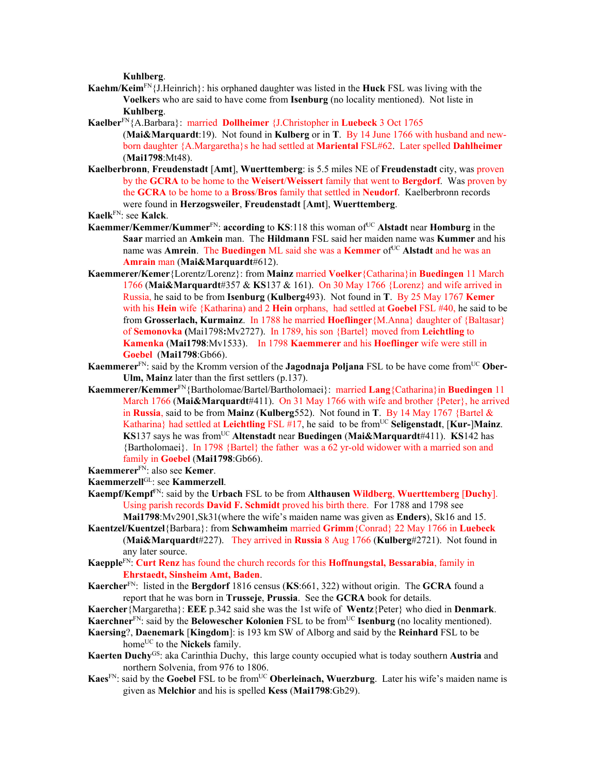**Kuhlberg**.

- **Kaehm/Keim**FN{J.Heinrich}: his orphaned daughter was listed in the **Huck** FSL was living with the **Voelker**s who are said to have come from **Isenburg** (no locality mentioned). Not liste in **Kuhlberg**.
- **Kaelber**FN{A.Barbara}: married **Dollheimer** {J.Christopher in **Luebeck** 3 Oct 1765
	- (**Mai&Marquardt**:19). Not found in **Kulberg** or in **T**. By 14 June 1766 with husband and newborn daughter {A.Margaretha}s he had settled at **Mariental** FSL#62. Later spelled **Dahlheimer** (**Mai1798**:Mt48).
- **Kaelberbronn**, **Freudenstadt** [**Amt**], **Wuerttemberg**: is 5.5 miles NE of **Freudenstadt** city, was proven by the **GCRA** to be home to the **Weisert**/**Weissert** family that went to **Bergdorf**. Was proven by the **GCRA** to be home to a **Bross**/**Bros** family that settled in **Neudorf**. Kaelberbronn records were found in **Herzogsweiler**, **Freudenstadt** [**Amt**], **Wuerttemberg**.

**Kaelk**FN: see **Kalck**.

- **Kaemmer/Kemmer/Kummer**FN: **according** to **KS**:118 this woman ofUC **Alstadt** near **Homburg** in the **Saar** married an **Amkein** man. The **Hildmann** FSL said her maiden name was **Kummer** and his name was **Amrein**. The **Buedingen** ML said she was a **Kemmer** of<sup>UC</sup> Alstadt and he was an **Amrain** man (**Mai&Marquardt**#612).
- **Kaemmerer/Kemer**{Lorentz/Lorenz}: from **Mainz** married **Voelker**{Catharina}in **Buedingen** 11 March 1766 (**Mai&Marquardt**#357 & **KS**137 & 161). On 30 May 1766 {Lorenz} and wife arrived in Russia, he said to be from **Isenburg** (**Kulberg**493). Not found in **T**. By 25 May 1767 **Kemer**  with his **Hein** wife {Katharina) and 2 **Hein** orphans, had settled at **Goebel** FSL #40, he said to be from **Grosserlach, Kurmainz**. In 1788 he married **Hoeflinger**{M.Anna} daughter of {Baltasar} of **Semonovka (**Mai1798**:**Mv2727). In 1789, his son {Bartel} moved from **Leichtling** to **Kamenka** (**Mai1798**:Mv1533).In 1798 **Kaemmerer** and his **Hoeflinger** wife were still in **Goebel** (**Mai1798**:Gb66).
- **Kaemmerer**<sup>FN</sup>: said by the Kromm version of the **Jagodnaja Poljana** FSL to be have come from<sup>UC</sup> Ober-**Ulm, Mainz** later than the first settlers (p.137).
- **Kaemmerer/Kemmer**FN{Bartholomae/Bartel/Bartholomaei}: married **Lang**{Catharina}in **Buedingen** 11 March 1766 (**Mai&Marquardt**#411). On 31 May 1766 with wife and brother {Peter}, he arrived in **Russia**, said to be from **Mainz** (**Kulberg**552). Not found in **T**. By 14 May 1767 {Bartel & Katharina} had settled at Leichtling FSL #17, he said to be from<sup>UC</sup> Seligenstadt, [Kur-]Mainz. **KS**137 says he was from<sup>UC</sup> Altenstadt near **Buedingen** (Mai&Marquardt#411). **KS**142 has {Bartholomaei}. In 1798 {Bartel} the father was a 62 yr-old widower with a married son and family in **Goebel** (**Mai1798**:Gb66).
- **Kaemmerer**FN: also see **Kemer**.
- **Kaemmerzell**GL: see **Kammerzell**.
- **Kaempf/Kempf**FN: said by the **Urbach** FSL to be from **Althausen Wildberg**, **Wuerttemberg** [**Duchy**]. Using parish records **David F. Schmidt** proved his birth there. For 1788 and 1798 see **Mai1798**:Mv2901,Sk31(where the wife's maiden name was given as **Enders**), Sk16 and 15.
- **Kaentzel/Kuentzel**{Barbara}: from **Schwamheim** married **Grimm**{Conrad} 22 May 1766 in **Luebeck**  (**Mai&Marquardt**#227). They arrived in **Russia** 8 Aug 1766 (**Kulberg**#2721). Not found in any later source.
- **Kaepple**FN: **Curt Renz** has found the church records for this **Hoffnungstal, Bessarabia**, family in **Ehrstaedt, Sinsheim Amt, Baden**.
- **Kaercher**FN: listed in the **Bergdorf** 1816 census (**KS**:661, 322) without origin. The **GCRA** found a report that he was born in **Trusseje**, **Prussia**. See the **GCRA** book for details.
- **Kaercher**{Margaretha}: **EEE** p.342 said she was the 1st wife of **Wentz**{Peter} who died in **Denmark**.
- **Kaerchner**<sup>FN</sup>: said by the **Belowescher Kolonien** FSL to be from<sup>UC</sup> **Isenburg** (no locality mentioned).
- **Kaersing**?, **Daenemark** [**Kingdom**]: is 193 km SW of Alborg and said by the **Reinhard** FSL to be home<sup>UC</sup> to the **Nickels** family.
- **Kaerten Duchy**GS: aka Carinthia Duchy, this large county occupied what is today southern **Austria** and northern Solvenia, from 976 to 1806.
- **Kaes**<sup>FN</sup>: said by the **Goebel** FSL to be from<sup>UC</sup> **Oberleinach, Wuerzburg**. Later his wife's maiden name is given as **Melchior** and his is spelled **Kess** (**Mai1798**:Gb29).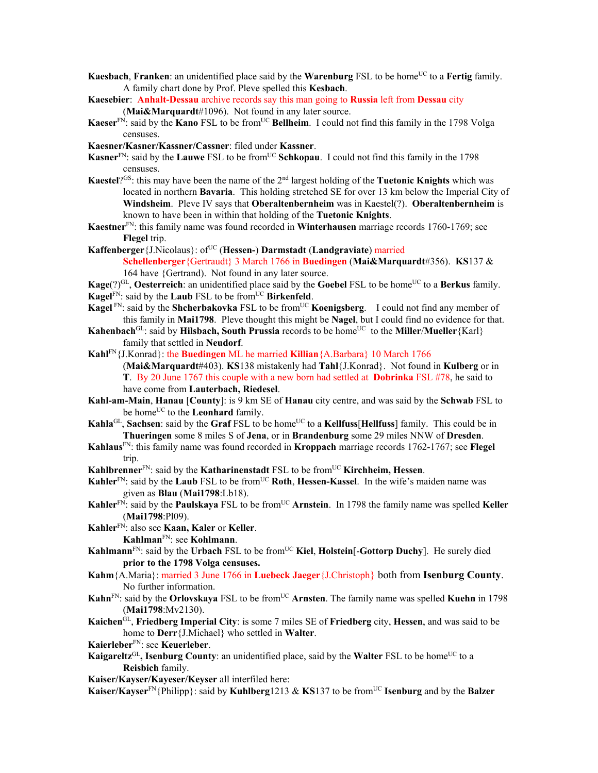- **Kaesbach, Franken:** an unidentified place said by the **Warenburg** FSL to be home<sup>UC</sup> to a Fertig family. A family chart done by Prof. Pleve spelled this **Kesbach**.
- **Kaesebier**: **Anhalt-Dessau** archive records say this man going to **Russia** left from **Dessau** city (**Mai&Marquardt**#1096). Not found in any later source.
- **Kaeser**<sup>FN</sup>: said by the **Kano** FSL to be from<sup>UC</sup> **Bellheim**. I could not find this family in the 1798 Volga censuses.
- **Kaesner/Kasner/Kassner/Cassner**: filed under **Kassner**.
- Kasner<sup>FN</sup>: said by the **Lauwe** FSL to be from<sup>UC</sup> **Schkopau**. I could not find this family in the 1798 censuses.
- **Kaestel**?GS: this may have been the name of the 2nd largest holding of the **Tuetonic Knights** which was located in northern **Bavaria**. This holding stretched SE for over 13 km below the Imperial City of **Windsheim**. Pleve IV says that **Oberaltenbernheim** was in Kaestel(?). **Oberaltenbernheim** is known to have been in within that holding of the **Tuetonic Knights**.
- **Kaestner**FN: this family name was found recorded in **Winterhausen** marriage records 1760-1769; see **Flegel** trip.
- **Kaffenberger** {J.Nicolaus}: of<sup>UC</sup> (**Hessen-**) **Darmstadt** (**Landgraviate**) married **Schellenberger**{Gertraudt} 3 March 1766 in **Buedingen** (**Mai&Marquardt**#356). **KS**137 & 164 have {Gertrand). Not found in any later source.
- **Kage**(?)<sup>GL</sup>, **Oesterreich**: an unidentified place said by the **Goebel** FSL to be home<sup>UC</sup> to a **Berkus** family. **Kagel**FN: said by the **Laub** FSL to be from<sup>UC</sup> **Birkenfeld**.
- **Kagel** FN: said by the **Shcherbakovka** FSL to be from<sup>UC</sup> **Koenigsberg**. I could not find any member of this family in **Mai1798**. Pleve thought this might be **Nagel**, but I could find no evidence for that.
- **Kahenbach**<sup>GL</sup>: said by **Hilsbach, South Prussia** records to be home<sup>UC</sup> to the **Miller**/**Mueller**{Karl} family that settled in **Neudorf**.
- **Kahl**FN{J.Konrad}: the **Buedingen** ML he married **Killian**{A.Barbara} 10 March 1766 (**Mai&Marquardt**#403). **KS**138 mistakenly had **Tahl**{J.Konrad}.Not found in **Kulberg** or in **T**. By 20 June 1767 this couple with a new born had settled at **Dobrinka** FSL #78, he said to have come from **Lauterbach, Riedesel**.
- **Kahl-am-Main**, **Hanau** [**County**]: is 9 km SE of **Hanau** city centre, and was said by the **Schwab** FSL to be home<sup>UC</sup> to the **Leonhard** family.
- **Kahla**<sup>GL</sup>, **Sachsen**: said by the **Graf** FSL to be home<sup>UC</sup> to a **Kellfuss**[Hellfuss] family. This could be in **Thueringen** some 8 miles S of **Jena**, or in **Brandenburg** some 29 miles NNW of **Dresden**.
- **Kahlaus**FN: this family name was found recorded in **Kroppach** marriage records 1762-1767; see **Flegel** trip.

**Kahlbrenner**<sup>FN</sup>: said by the **Katharinenstadt** FSL to be from<sup>UC</sup> **Kirchheim, Hessen**.

- **Kahler**<sup>FN</sup>: said by the **Laub** FSL to be from<sup>UC</sup> **Roth**, **Hessen-Kassel**. In the wife's maiden name was given as **Blau** (**Mai1798**:Lb18).
- **Kahler**<sup>FN</sup>: said by the **Paulskaya** FSL to be from<sup>UC</sup> **Arnstein**. In 1798 the family name was spelled **Keller** (**Mai1798**:Pl09).
- **Kahler**FN: also see **Kaan, Kaler** or **Keller**. **Kahlman**FN: see **Kohlmann**.
- **Kahlmann**<sup>FN</sup>: said by the **Urbach** FSL to be from<sup>UC</sup> Kiel, Holstein<sup>[</sup>-Gottorp Duchy]. He surely died **prior to the 1798 Volga censuses.**
- **Kahm**{A.Maria}: married 3 June 1766 in **Luebeck Jaeger**{J.Christoph} both from **Isenburg County**. No further information.
- **Kahn**<sup>FN</sup>: said by the **Orlovskaya** FSL to be from<sup>UC</sup> Arnsten. The family name was spelled **Kuehn** in 1798 (**Mai1798**:Mv2130).
- **Kaichen**GL, **Friedberg Imperial City**: is some 7 miles SE of **Friedberg** city, **Hessen**, and was said to be home to **Derr**{J.Michael} who settled in **Walter**.
- **Kaierleber**FN: see **Keuerleber**.
- **Kaigareltz**<sup>GL</sup>, **Isenburg County**: an unidentified place, said by the **Walter** FSL to be home<sup>UC</sup> to a **Reisbich** family.

**Kaiser/Kayser/Kayeser/Keyser** all interfiled here:

**Kaiser/Kayser**FN{Philipp}: said by **Kuhlberg**1213 & **KS**137 to be fromUC **Isenburg** and by the **Balzer**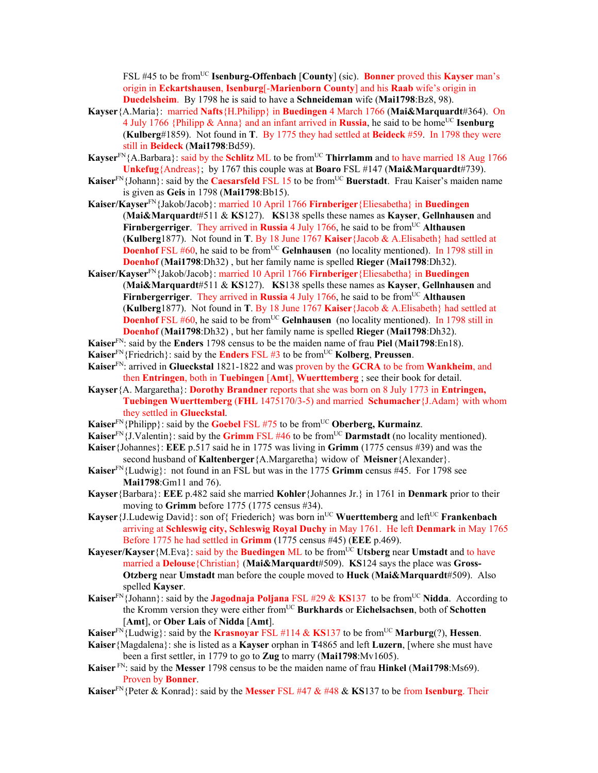FSL #45 to be from<sup>UC</sup> **Isenburg-Offenbach** [County] (sic). **Bonner** proved this **Kayser** man's origin in **Eckartshausen**, **Isenburg**[-**Marienborn County**] and his **Raab** wife's origin in **Duedelsheim**. By 1798 he is said to have a **Schneideman** wife (**Mai1798**:Bz8, 98).

- **Kayser**{A.Maria}: married **Nafts**{H.Philipp} in **Buedingen** 4 March 1766 (**Mai&Marquardt**#364). On 4 July 1766 {Philipp  $\&$  Anna} and an infant arrived in **Russia**, he said to be home<sup>UC</sup> **Isenburg** (**Kulberg**#1859). Not found in **T**. By 1775 they had settled at **Beideck** #59. In 1798 they were still in **Beideck** (**Mai1798**:Bd59).
- **Kayser**<sup>FN</sup>{A.Barbara}: said by the **Schlitz** ML to be from<sup>UC</sup> **Thirrlamm** and to have married 18 Aug 1766 **Unkefug**{Andreas}; by 1767 this couple was at **Boaro** FSL #147 (**Mai&Marquardt**#739).
- **Kaiser**<sup>FN</sup>{Johann}: said by the **Caesarsfeld** FSL 15 to be from<sup>UC</sup> Buerstadt. Frau Kaiser's maiden name is given as **Geis** in 1798 (**Mai1798**:Bb15).
- **Kaiser/Kayser**FN{Jakob/Jacob}: married 10 April 1766 **Firnberiger**{Eliesabetha} in **Buedingen** (**Mai&Marquardt**#511 & **KS**127). **KS**138 spells these names as **Kayser**, **Gellnhausen** and **Firnbergerriger.** They arrived in **Russia** 4 July 1766, he said to be from<sup>UC</sup> Althausen (**Kulberg**1877). Not found in **T**. By 18 June 1767 **Kaiser**{Jacob & A.Elisabeth} had settled at **Doenhof** FSL #60, he said to be from<sup>UC</sup> Gelnhausen (no locality mentioned). In 1798 still in **Doenhof** (**Mai1798**:Dh32) , but her family name is spelled **Rieger** (**Mai1798**:Dh32).
- **Kaiser/Kayser**FN{Jakob/Jacob}: married 10 April 1766 **Firnberiger**{Eliesabetha} in **Buedingen** (**Mai&Marquardt**#511 & **KS**127). **KS**138 spells these names as **Kayser**, **Gellnhausen** and **Firnbergerriger.** They arrived in **Russia** 4 July 1766, he said to be from<sup>UC</sup> Althausen (**Kulberg**1877). Not found in **T**. By 18 June 1767 **Kaiser**{Jacob & A.Elisabeth} had settled at **Doenhof** FSL #60, he said to be from<sup>UC</sup> Gelnhausen (no locality mentioned). In 1798 still in **Doenhof** (**Mai1798**:Dh32) , but her family name is spelled **Rieger** (**Mai1798**:Dh32).
- **Kaiser**FN: said by the **Enders** 1798 census to be the maiden name of frau **Piel** (**Mai1798**:En18).
- **Kaiser**FN{Friedrich}: said by the **Enders** FSL #3 to be fromUC **Kolberg**, **Preussen**.
- **Kaiser**FN: arrived in **Glueckstal** 1821-1822 and was proven by the **GCRA** to be from **Wankheim**, and then **Entringen**, both in **Tuebingen** [**Amt**], **Wuerttemberg** ; see their book for detail.
- **Kayser**{A. Margaretha}: **Dorothy Brandner** reports that she was born on 8 July 1773 in **Entringen, Tuebingen Wuerttemberg** (**FHL** 1475170/3-5) and married **Schumacher**{J.Adam} with whom they settled in **Glueckstal**.
- **Kaiser**<sup>FN</sup>{Philipp}: said by the **Goebel** FSL #75 to be from<sup>UC</sup> Oberberg, **Kurmainz**.
- **Kaiser**<sup>FN</sup>{J.Valentin}: said by the **Grimm** FSL #46 to be from<sup>UC</sup> **Darmstadt** (no locality mentioned).
- **Kaiser**{Johannes}: **EEE** p.517 said he in 1775 was living in **Grimm** (1775 census #39) and was the second husband of **Kaltenberger**{A.Margaretha} widow of **Meisner**{Alexander}.
- **Kaiser**FN{Ludwig}: not found in an FSL but was in the 1775 **Grimm** census #45. For 1798 see **Mai1798**:Gm11 and 76).
- **Kayser**{Barbara}: **EEE** p.482 said she married **Kohler**{Johannes Jr.} in 1761 in **Denmark** prior to their moving to **Grimm** before 1775 (1775 census #34).
- **Kayser** {J.Ludewig David}: son of { Friederich} was born in<sup>UC</sup> **Wuerttemberg** and left<sup>UC</sup> **Frankenbach** arriving at **Schleswig city, Schleswig Royal Duchy** in May 1761. He left **Denmark** in May 1765 Before 1775 he had settled in **Grimm** (1775 census #45) (**EEE** p.469).
- **Kayeser/Kayser**{M.Eva}: said by the **Buedingen** ML to be from<sup>UC</sup> Utsberg near Umstadt and to have married a **Delouse**{Christian} (**Mai&Marquardt**#509). **KS**124 says the place was **Gross-Otzberg** near **Umstadt** man before the couple moved to **Huck** (**Mai&Marquardt**#509). Also spelled **Kayser**.
- **Kaiser**<sup>FN</sup>{Johann}: said by the **Jagodnaja Poljana** FSL #29 & **KS**137 to be from<sup>UC</sup> Nidda. According to the Kromm version they were either fromUC **Burkhards** or **Eichelsachsen**, both of **Schotten** [**Amt**], or **Ober Lais** of **Nidda** [**Amt**].
- **Kaiser**<sup>FN</sup>{Ludwig}: said by the **Krasnoyar** FSL #114 & **KS**137 to be from<sup>UC</sup> **Marburg**(?), **Hessen**.
- **Kaiser**{Magdalena}: she is listed as a **Kayser** orphan in **T**4865 and left **Luzern**, [where she must have been a first settler, in 1779 to go to **Zug** to marry (**Mai1798**:Mv1605).
- **Kaiser** FN: said by the **Messer** 1798 census to be the maiden name of frau **Hinkel** (**Mai1798**:Ms69). Proven by **Bonner**.
- **Kaiser**FN{Peter & Konrad}: said by the **Messer** FSL #47 & #48 & **KS**137 to be from **Isenburg**. Their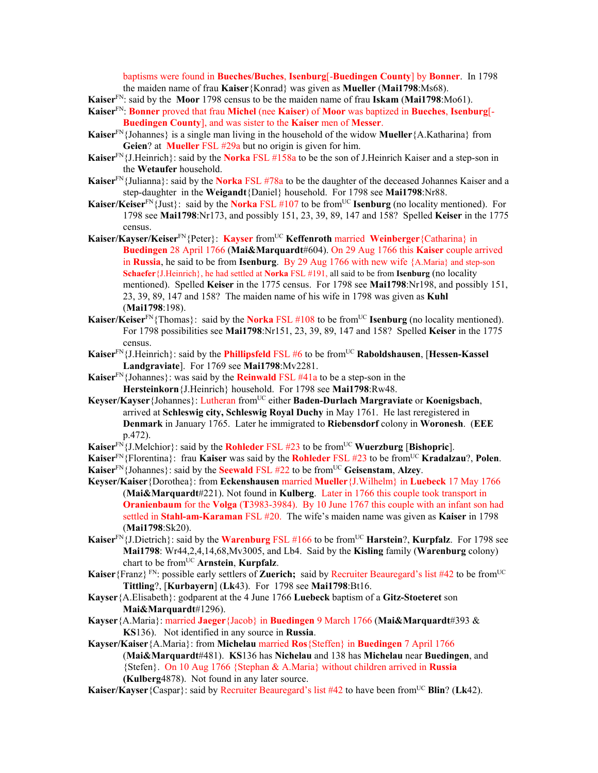baptisms were found in **Bueches/Buches**, **Isenburg**[-**Buedingen County**] by **Bonner**. In 1798 the maiden name of frau **Kaiser**{Konrad} was given as **Mueller** (**Mai1798**:Ms68).

**Kaiser**FN: said by the **Moor** 1798 census to be the maiden name of frau **Iskam** (**Mai1798**:Mo61).

- **Kaiser**FN: **Bonner** proved that frau **Michel** (nee **Kaiser**) of **Moor** was baptized in **Bueches**, **Isenburg**[- **Buedingen County**], and was sister to the **Kaiser** men of **Messer**.
- **Kaiser**FN{Johannes} is a single man living in the household of the widow **Mueller**{A.Katharina} from **Geien**? at **Mueller** FSL #29a but no origin is given for him.
- **Kaiser**FN{J.Heinrich}: said by the **Norka** FSL #158a to be the son of J.Heinrich Kaiser and a step-son in the **Wetaufer** household.
- **Kaiser**FN{Julianna}: said by the **Norka** FSL #78a to be the daughter of the deceased Johannes Kaiser and a step-daughter in the **Weigandt**{Daniel} household. For 1798 see **Mai1798**:Nr88.
- **Kaiser/Keiser**<sup>FN</sup>{Just}: said by the **Norka** FSL #107 to be from<sup>UC</sup> **Isenburg** (no locality mentioned). For 1798 see **Mai1798**:Nr173, and possibly 151, 23, 39, 89, 147 and 158? Spelled **Keiser** in the 1775 census.
- **Kaiser/Kayser/Keiser**FN{Peter}: **Kayser** fromUC **Keffenroth** married **Weinberger**{Catharina} in **Buedingen** 28 April 1766 (**Mai&Marquardt**#604). On 29 Aug 1766 this **Kaiser** couple arrived in **Russia**, he said to be from **Isenburg**. By 29 Aug 1766 with new wife {A.Maria} and step-son **Schaefer**{J.Heinrich}, he had settled at **Norka** FSL #191, all said to be from **Isenburg** (no locality mentioned). Spelled **Keiser** in the 1775 census. For 1798 see **Mai1798**:Nr198, and possibly 151, 23, 39, 89, 147 and 158? The maiden name of his wife in 1798 was given as **Kuhl** (**Mai1798**:198).
- **Kaiser/Keiser**<sup>FN</sup>{Thomas}: said by the **Norka** FSL #108 to be from<sup>UC</sup> **Isenburg** (no locality mentioned). For 1798 possibilities see **Mai1798**:Nr151, 23, 39, 89, 147 and 158? Spelled **Keiser** in the 1775 census.
- Kaiser<sup>FN</sup>{J.Heinrich}: said by the **Phillipsfeld** FSL #6 to be from<sup>UC</sup> Raboldshausen, [Hessen-Kassel **Landgraviate**]. For 1769 see **Mai1798**:Mv2281.
- **Kaiser**FN{Johannes}: was said by the **Reinwald** FSL #41a to be a step-son in the **Hersteinkorn**{J.Heinrich} household. For 1798 see **Mai1798**:Rw48.
- **Keyser/Kayser**{Johannes}: Lutheran fromUC either **Baden-Durlach Margraviate** or **Koenigsbach**, arrived at **Schleswig city, Schleswig Royal Duchy** in May 1761. He last reregistered in **Denmark** in January 1765. Later he immigrated to **Riebensdorf** colony in **Woronesh**. (**EEE** p.472).
- **Kaiser**<sup>FN</sup>{J.Melchior}: said by the **Rohleder** FSL #23 to be from<sup>UC</sup> **Wuerzburg** [Bishopric].
- **Kaiser**FN{Florentina}: frau **Kaiser** was said by the **Rohleder** FSL #23 to be fromUC **Kradalzau**?, **Polen**. **Kaiser**<sup>FN</sup>{Johannes}: said by the **Seewald** FSL  $#22$  to be from<sup>UC</sup> Geisenstam, Alzey.
- **Keyser/Kaiser**{Dorothea}: from **Eckenshausen** married **Mueller**{J.Wilhelm} in **Luebeck** 17 May 1766 (**Mai&Marquardt**#221). Not found in **Kulberg**. Later in 1766 this couple took transport in **Oranienbaum** for the **Volga** (**T**3983-3984). By 10 June 1767 this couple with an infant son had settled in **Stahl-am-Karaman** FSL #20. The wife's maiden name was given as **Kaiser** in 1798 (**Mai1798**:Sk20).
- **Kaiser**<sup>FN</sup>{J.Dietrich}: said by the **Warenburg** FSL #166 to be from<sup>UC</sup> **Harstein**?, **Kurpfalz**. For 1798 see **Mai1798**: Wr44,2,4,14,68,Mv3005, and Lb4. Said by the **Kisling** family (**Warenburg** colony) chart to be fromUC **Arnstein**, **Kurpfalz**.
- **Kaiser** {Franz} FN: possible early settlers of **Zuerich;** said by Recruiter Beauregard's list #42 to be from<sup>UC</sup> **Tittling**?, [**Kurbayern**] (**Lk**43). For 1798 see **Mai1798**:Bt16.
- **Kayser**{A.Elisabeth}: godparent at the 4 June 1766 **Luebeck** baptism of a **Gitz-Stoeteret** son **Mai&Marquardt**#1296).
- **Kayser**{A.Maria}: married **Jaeger**{Jacob} in **Buedingen** 9 March 1766 (**Mai&Marquardt**#393 & **KS**136). Not identified in any source in **Russia**.
- **Kayser/Kaiser**{A.Maria}: from **Michelau** married **Ros**{Steffen} in **Buedingen** 7 April 1766 (**Mai&Marquardt**#481). **KS**136 has **Nichelau** and 138 has **Michelau** near **Buedingen**, and {Stefen}. On 10 Aug 1766 {Stephan & A.Maria} without children arrived in **Russia (Kulberg**4878). Not found in any later source.
- **Kaiser/Kayser** {Caspar}: said by Recruiter Beauregard's list #42 to have been from<sup>UC</sup> **Blin**? (Lk42).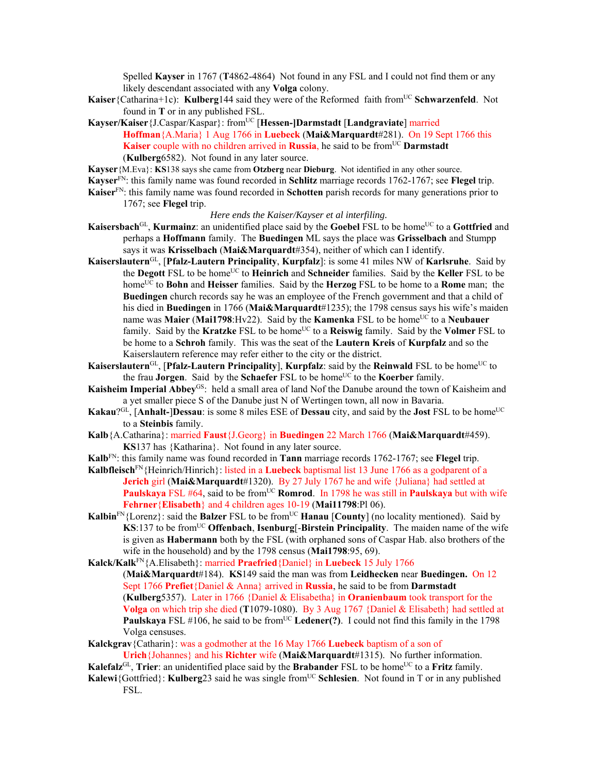Spelled **Kayser** in 1767 (**T**4862-4864) Not found in any FSL and I could not find them or any likely descendant associated with any **Volga** colony.

- **Kaiser** {Catharina+1c): **Kulberg**144 said they were of the Reformed faith from<sup>UC</sup> Schwarzenfeld. Not found in **T** or in any published FSL.
- Kayser/Kaiser {J.Caspar/Kaspar}: from<sup>UC</sup> [Hessen-]Darmstadt [Landgraviate] married **Hoffman**{A.Maria} 1 Aug 1766 in **Luebeck** (**Mai&Marquardt**#281). On 19 Sept 1766 this **Kaiser** couple with no children arrived in **Russia**, he said to be from<sup>UC</sup> **Darmstadt** (**Kulberg**6582). Not found in any later source.
- **Kayser**{M.Eva}: **KS**138 says she came from **Otzberg** near **Dieburg**. Not identified in any other source.
- **Kayser**FN: this family name was found recorded in **Schlitz** marriage records 1762-1767; see **Flegel** trip.
- **Kaiser**FN: this family name was found recorded in **Schotten** parish records for many generations prior to 1767; see **Flegel** trip.

### *Here ends the Kaiser/Kayser et al interfiling.*

- **Kaisersbach**<sup>GL</sup>, **Kurmainz**: an unidentified place said by the **Goebel** FSL to be home<sup>UC</sup> to a **Gottfried** and perhaps a **Hoffmann** family. The **Buedingen** ML says the place was **Grisselbach** and Stumpp says it was **Krisselbach** (**Mai&Marquardt**#354), neither of which can I identify.
- **Kaiserslautern**GL, [**Pfalz-Lautern Principality**, **Kurpfalz**]: is some 41 miles NW of **Karlsruhe**. Said by the **Degott** FSL to be homeUC to **Heinrich** and **Schneider** families. Said by the **Keller** FSL to be homeUC to **Bohn** and **Heisser** families. Said by the **Herzog** FSL to be home to a **Rome** man; the **Buedingen** church records say he was an employee of the French government and that a child of his died in **Buedingen** in 1766 (**Mai&Marquardt**#1235); the 1798 census says his wife's maiden name was **Maier** (Mai1798:Hv22). Said by the **Kamenka** FSL to be home<sup>UC</sup> to a **Neubauer** family. Said by the **Kratzke** FSL to be home<sup>UC</sup> to a **Reiswig** family. Said by the **Volmer** FSL to be home to a **Schroh** family. This was the seat of the **Lautern Kreis** of **Kurpfalz** and so the Kaiserslautern reference may refer either to the city or the district.
- **Kaiserslautern**<sup>GL</sup>, [**Pfalz-Lautern Principality**], **Kurpfalz**: said by the **Reinwald** FSL to be home<sup>UC</sup> to the frau **Jorgen**. Said by the **Schaefer** FSL to be home<sup>UC</sup> to the **Koerber** family.
- **Kaisheim Imperial Abbey**GS: held a small area of land Nof the Danube around the town of Kaisheim and a yet smaller piece S of the Danube just N of Wertingen town, all now in Bavaria.
- **Kakau**? $G^{\text{L}}$ , [**Anhalt-**]Dessau: is some 8 miles ESE of Dessau city, and said by the **Jost** FSL to be home<sup>UC</sup> to a **Steinbis** family.
- **Kalb**{A.Catharina}: married **Faust**{J.Georg} in **Buedingen** 22 March 1766 (**Mai&Marquardt**#459). **KS**137 has {Katharina}. Not found in any later source.
- **Kalb**FN: this family name was found recorded in **Tann** marriage records 1762-1767; see **Flegel** trip.
- **Kalbfleisch**FN{Heinrich/Hinrich}: listed in a **Luebeck** baptismal list 13 June 1766 as a godparent of a **Jerich** girl (**Mai&Marquardt**#1320). By 27 July 1767 he and wife {Juliana} had settled at **Paulskaya** FSL #64, said to be from<sup>UC</sup> **Romrod**. In 1798 he was still in **Paulskaya** but with wife **Fehrner**{**Elisabeth**} and 4 children ages 10-19 (**Mai11798**:Pl 06).
- **Kalbin**<sup>FN</sup>{Lorenz}: said the **Balzer** FSL to be from<sup>UC</sup> **Hanau** [County] (no locality mentioned). Said by  $\textbf{K}$ S:137 to be from<sup>UC</sup> **Offenbach, Isenburg**[-**Birstein Principality**. The maiden name of the wife is given as **Habermann** both by the FSL (with orphaned sons of Caspar Hab. also brothers of the wife in the household) and by the 1798 census (**Mai1798**:95, 69).
- **Kalck/Kalk**FN{A.Elisabeth}: married **Praefried**{Daniel} in **Luebeck** 15 July 1766

(**Mai&Marquardt**#184). **KS**149 said the man was from **Leidhecken** near **Buedingen.** On 12 Sept 1766 **Prefiet**{Daniel & Anna} arrived in **Russia**, he said to be from **Darmstadt**  (**Kulberg**5357). Later in 1766 {Daniel & Elisabetha} in **Oranienbaum** took transport for the **Volga** on which trip she died (**T**1079-1080). By 3 Aug 1767 {Daniel & Elisabeth} had settled at **Paulskaya** FSL  $\#106$ , he said to be from<sup>UC</sup> Ledener(?). I could not find this family in the 1798 Volga censuses.

**Kalckgrav**{Catharin}: was a godmother at the 16 May 1766 **Luebeck** baptism of a son of **Urich**{Johannes} and his **Richter** wife (**Mai&Marquardt**#1315). No further information.

**Kalefalz**<sup>GL</sup>, **Trier**: an unidentified place said by the **Brabander** FSL to be home<sup>UC</sup> to a Fritz family.

**Kalewi**{Gottfried}: **Kulberg**23 said he was single from<sup>UC</sup> Schlesien. Not found in T or in any published FSL.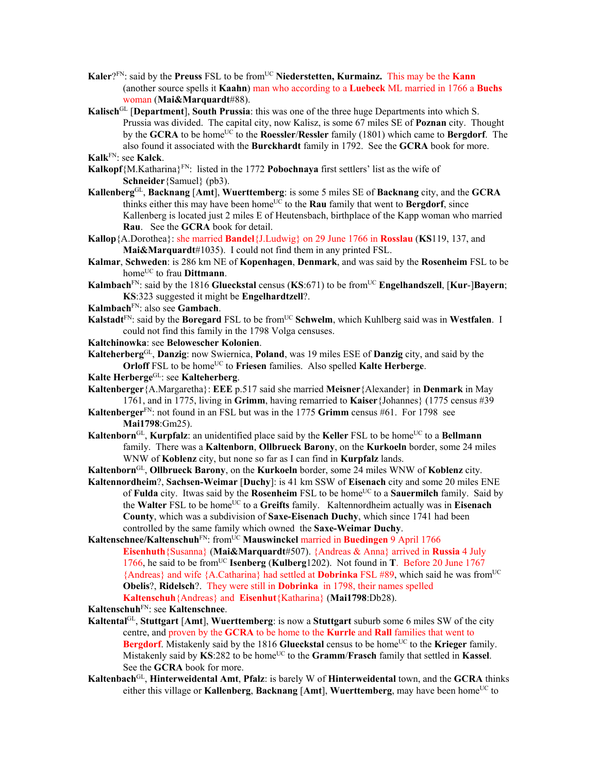- **Kaler**?<sup>FN</sup>: said by the **Preuss** FSL to be from<sup>UC</sup> Niederstetten, **Kurmainz.** This may be the **Kann** (another source spells it **Kaahn**) man who according to a **Luebeck** ML married in 1766 a **Buchs** woman (**Mai&Marquardt**#88).
- **Kalisch**GL [**Department**], **South Prussia**: this was one of the three huge Departments into which S. Prussia was divided. The capital city, now Kalisz, is some 67 miles SE of **Poznan** city. Thought by the **GCRA** to be home<sup>UC</sup> to the **Roessler/Ressler** family (1801) which came to **Bergdorf**. The also found it associated with the **Burckhardt** family in 1792. See the **GCRA** book for more. **Kalk**FN: see **Kalck**.
- **Kalkopf**{M.Katharina}FN: listed in the 1772 **Pobochnaya** first settlers' list as the wife of **Schneider**{Samuel} (pb3).
- **Kallenberg**GL, **Backnang** [**Amt**], **Wuerttemberg**: is some 5 miles SE of **Backnang** city, and the **GCRA** thinks either this may have been home<sup>UC</sup> to the **Rau** family that went to **Bergdorf**, since Kallenberg is located just 2 miles E of Heutensbach, birthplace of the Kapp woman who married **Rau**. See the **GCRA** book for detail.
- **Kallop**{A.Dorothea}: she married **Bandel**{J.Ludwig} on 29 June 1766 in **Rosslau** (**KS**119, 137, and **Mai&Marquardt**#1035). I could not find them in any printed FSL.
- **Kalmar**, **Schweden**: is 286 km NE of **Kopenhagen**, **Denmark**, and was said by the **Rosenheim** FSL to be home<sup>UC</sup> to frau **Dittmann**.
- **Kalmbach**FN: said by the 1816 **Glueckstal** census (**KS**:671) to be fromUC **Engelhandszell**, [**Kur**-]**Bayern**; **KS**:323 suggested it might be **Engelhardtzell**?.
- **Kalmbach**FN: also see **Gambach**.
- **Kalstadt**<sup>FN</sup>: said by the **Boregard** FSL to be from<sup>UC</sup> Schwelm, which Kuhlberg said was in Westfalen. I could not find this family in the 1798 Volga censuses.
- **Kaltchinowka**: see **Belowescher Kolonien**.

**Kalteherberg**GL, **Danzig**: now Swiernica, **Poland**, was 19 miles ESE of **Danzig** city, and said by the **Orloff** FSL to be home<sup>UC</sup> to **Friesen** families. Also spelled **Kalte Herberge**.

- **Kalte Herberge**GL: see **Kalteherberg**.
- **Kaltenberger**{A.Margaretha}: **EEE** p.517 said she married **Meisner**{Alexander} in **Denmark** in May 1761, and in 1775, living in **Grimm**, having remarried to **Kaiser**{Johannes} (1775 census #39
- **Kaltenberger**FN: not found in an FSL but was in the 1775 **Grimm** census #61. For 1798 see **Mai1798**:Gm25).
- **Kaltenborn**<sup>GL</sup>, **Kurpfalz**: an unidentified place said by the **Keller** FSL to be home<sup>UC</sup> to a **Bellmann** family. There was a **Kaltenborn**, **Ollbrueck Barony**, on the **Kurkoeln** border, some 24 miles WNW of **Koblenz** city, but none so far as I can find in **Kurpfalz** lands.
- **Kaltenborn**GL, **Ollbrueck Barony**, on the **Kurkoeln** border, some 24 miles WNW of **Koblenz** city.
- **Kaltennordheim**?, **Sachsen-Weimar** [**Duchy**]: is 41 km SSW of **Eisenach** city and some 20 miles ENE of **Fulda** city. Itwas said by the **Rosenheim** FSL to be home<sup>UC</sup> to a **Sauermilch** family. Said by the Walter FSL to be home<sup>UC</sup> to a Greifts family. Kaltennordheim actually was in Eisenach **County**, which was a subdivision of **Saxe-Eisenach Duchy**, which since 1741 had been controlled by the same family which owned the **Saxe-Weimar Duchy**.
- **Kaltenschnee/Kaltenschuh**<sup>FN</sup>: from<sup>UC</sup> Mauswinckel married in Buedingen 9 April 1766 **Eisenhuth**{Susanna} (**Mai&Marquardt**#507). {Andreas & Anna} arrived in **Russia** 4 July 1766, he said to be fromUC **Isenberg** (**Kulberg**1202). Not found in **T**. Before 20 June 1767 {Andreas} and wife {A.Catharina} had settled at **Dobrinka** FSL #89, which said he was fromUC **Obelis**?, **Ridelsch**?. They were still in **Dobrinka** in 1798, their names spelled **Kaltenschuh**{Andreas} and **Eisenhut**{Katharina} (**Mai1798**:Db28).
- **Kaltenschuh**FN: see **Kaltenschnee**.
- **Kaltental**GL, **Stuttgart** [**Amt**], **Wuerttemberg**: is now a **Stuttgart** suburb some 6 miles SW of the city centre, and proven by the **GCRA** to be home to the **Kurrle** and **Rall** families that went to **Bergdorf**. Mistakenly said by the 1816 **Glueckstal** census to be home<sup>UC</sup> to the **Krieger** family. Mistakenly said by **KS**:282 to be home<sup>UC</sup> to the **Gramm/Frasch** family that settled in **Kassel**. See the **GCRA** book for more.
- **Kaltenbach**GL, **Hinterweidental Amt**, **Pfalz**: is barely W of **Hinterweidental** town, and the **GCRA** thinks either this village or **Kallenberg**, **Backnang** [Amt], **Wuerttemberg**, may have been home<sup>UC</sup> to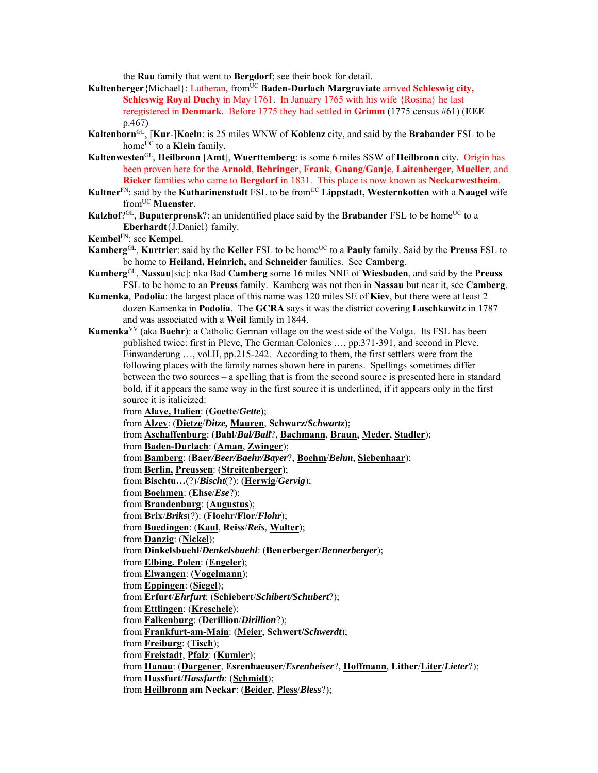the **Rau** family that went to **Bergdorf**; see their book for detail.

- Kaltenberger<sup>{Michael}: Lutheran, from<sup>UC</sup> Baden-Durlach Margraviate arrived Schleswig city,</sup> **Schleswig Royal Duchy** in May 1761. In January 1765 with his wife {Rosina} he last reregistered in **Denmark**. Before 1775 they had settled in **Grimm** (1775 census #61) (**EEE** p.467)
- **Kaltenborn**GL, [**Kur**-]**Koeln**: is 25 miles WNW of **Koblenz** city, and said by the **Brabander** FSL to be home<sup>UC</sup> to a **Klein** family.
- **Kaltenwesten**GL, **Heilbronn** [**Amt**], **Wuerttemberg**: is some 6 miles SSW of **Heilbronn** city. Origin has been proven here for the **Arnold**, **Behringer**, **Frank**, **Gnang**/**Ganje**, **Laitenberger**, **Mueller**, and **Rieker** families who came to **Bergdorf** in 1831. This place is now known as **Neckarwestheim**.
- **Kaltner**<sup>FN</sup>: said by the **Katharinenstadt** FSL to be from<sup>UC</sup> **Lippstadt, Westernkotten** with a **Naagel** wife from<sup>UC</sup> Muenster.
- **Kalzhof**?<sup>GL</sup>, **Bupaterpronsk**?: an unidentified place said by the **Brabander** FSL to be home<sup>UC</sup> to a **Eberhardt**{J.Daniel} family.
- **Kembel**FN: see **Kempel**.
- **Kamberg**<sup>GL</sup>, **Kurtrier**: said by the **Keller** FSL to be home<sup>UC</sup> to a **Pauly** family. Said by the **Preuss** FSL to be home to **Heiland, Heinrich,** and **Schneider** families. See **Camberg**.
- **Kamberg**GL, **Nassau**[sic]: nka Bad **Camberg** some 16 miles NNE of **Wiesbaden**, and said by the **Preuss** FSL to be home to an **Preuss** family. Kamberg was not then in **Nassau** but near it, see **Camberg**.
- **Kamenka**, **Podolia**: the largest place of this name was 120 miles SE of **Kiev**, but there were at least 2 dozen Kamenka in **Podolia**. The **GCRA** says it was the district covering **Luschkawitz** in 1787 and was associated with a **Weil** family in 1844.
- **Kamenka**VV (aka **Baehr**): a Catholic German village on the west side of the Volga. Its FSL has been published twice: first in Pleve, The German Colonies ..., pp.371-391, and second in Pleve, Einwanderung …, vol.II, pp.215-242. According to them, the first settlers were from the following places with the family names shown here in parens. Spellings sometimes differ between the two sources – a spelling that is from the second source is presented here in standard bold, if it appears the same way in the first source it is underlined, if it appears only in the first source it is italicized:
	- from **Alave, Italien**: (**Goette**/*Gette*);
	- from **Alzey**: (**Dietze**/*Ditze,* **Mauren**, **Schwarz/***Schwartz*);
	- from **Aschaffenburg**: (**Bahl**/*Bal/Ball*?, **Bachmann**, **Braun**, **Meder**, **Stadler**);
	- from **Baden-Durlach**: (**Aman**, **Zwinger**);
	- from **Bamberg**: (**Baer***/Beer/Baehr/Bayer*?, **Boehm**/*Behm*, **Siebenhaar**);
	- from **Berlin, Preussen**: (**Streitenberger**);
	- from **Bischtu…**(?)/*Bischt*(?): (**Herwig**/*Gervig*);
	- from **Boehmen**: (**Ehse**/*Ese*?);
	- from **Brandenburg**: (**Augustus**);
	- from **Brix**/*Briks*(?): (**Floehr/Flor**/*Flohr*);
	- from **Buedingen**: (**Kaul**, **Reiss**/*Reis*, **Walter**);
	- from **Danzig**: (**Nickel**);
	- from **Dinkelsbuehl**/*Denkelsbuehl*: (**Benerberger**/*Bennerberger*);
	- from **Elbing, Polen**: (**Engeler**);
	- from **Elwangen**: (**Vogelmann**);
	- from **Eppingen**: (**Siegel**);
	- from **Erfurt**/*Ehrfurt*: (**Schiebert**/*Schibert/Schubert*?);
	- from **Ettlingen**: (**Kreschele**);
	- from **Falkenburg**: (**Derillion**/*Dirillion*?);
	- from **Frankfurt-am-Main**: (**Meier**, **Schwert/***Schwerdt*);
	- from **Freiburg**: (**Tisch**);
	- from **Freistadt**, **Pfalz**: (**Kumler**);
	- from **Hanau**: (**Dargener**, **Esrenhaeuser**/*Esrenheiser*?, **Hoffmann**, **Lither**/**Liter**/*Lieter*?);
	- from **Hassfurt**/*Hassfurth*: (**Schmidt**);
	- from **Heilbronn am Neckar**: (**Beider**, **Pless**/*Bless*?);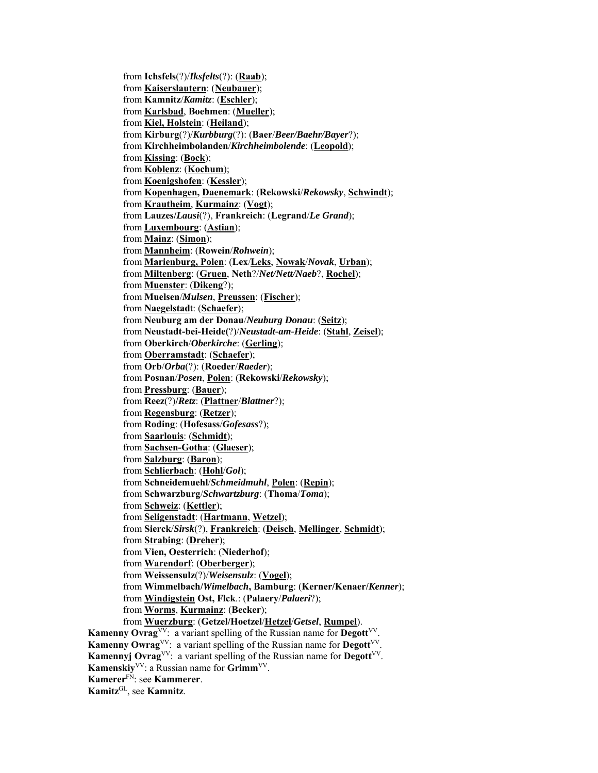from **Ichsfels**(?)/*Iksfelts*(?): (**Raab**); from **Kaiserslautern**: (**Neubauer**); from **Kamnitz**/*Kamitz*: (**Eschler**); from **Karlsbad**, **Boehmen**: (**Mueller**); from **Kiel, Holstein**: (**Heiland**); from **Kirburg**(?)/*Kurbburg*(?): (**Baer**/*Beer/Baehr/Bayer*?); from **Kirchheimbolanden**/*Kirchheimbolende*: (**Leopold**); from **Kissing**: (**Bock**); from **Koblenz**: (**Kochum**); from **Koenigshofen**: (**Kessler**); from **Kopenhagen, Daenemark**: (**Rekowski**/*Rekowsky*, **Schwindt**); from **Krautheim**, **Kurmainz**: (**Vogt**); from **Lauzes/***Lausi*(?), **Frankreich**: (**Legrand**/*Le Grand*); from **Luxembourg**: (**Astian**); from **Mainz**: (**Simon**); from **Mannheim**: (**Rowein**/*Rohwein*); from **Marienburg, Polen**: (**Lex**/**Leks**, **Nowak**/*Novak*, **Urban**); from **Miltenberg**: (**Gruen**, **Neth**?/*Net/Nett/Naeb*?, **Rochel**); from **Muenster**: (**Dikeng**?); from **Muelsen**/*Mulsen*, **Preussen**: (**Fischer**); from **Naegelstad**t: (**Schaefer**); from **Neuburg am der Donau**/*Neuburg Donau*: (**Seitz**); from **Neustadt-bei-Heide(**?)/*Neustadt-am-Heide*: (**Stahl**, **Zeisel**); from **Oberkirch**/*Oberkirche*: (**Gerling**); from **Oberramstadt**: (**Schaefer**); from **Orb**/*Orba*(?): (**Roeder**/*Raeder*); from **Posnan**/*Posen*, **Polen**: (**Rekowski**/*Rekowsky*); from **Pressburg**: (**Bauer**); from **Reez**(?)**/***Retz*: (**Plattner**/*Blattner*?); from **Regensburg**: (**Retzer**); from **Roding**: (**Hofesass**/*Gofesass*?); from **Saarlouis**: (**Schmidt**); from **Sachsen-Gotha**: (**Glaeser**); from **Salzburg**: (**Baron**); from **Schlierbach**: (**Hohl**/*Gol*); from **Schneidemuehl**/*Schmeidmuhl*, **Polen**: (**Repin**); from **Schwarzburg**/*Schwartzburg*: (**Thoma**/*Toma*); from **Schweiz**: (**Kettler**); from **Seligenstadt**: (**Hartmann**, **Wetzel**); from **Sierck**/*Sirsk*(?), **Frankreich**: (**Deisch**, **Mellinger**, **Schmidt**); from **Strabing**: (**Dreher**); from **Vien, Oesterrich**: (**Niederhof**); from **Warendorf**: (**Oberberger**); from **Weissensulz**(?)/*Weisensulz*: (**Vogel**); from **Wimmelbach/***Wimelbach***, Bamburg**: (**Kerner/Kenaer/***Kenner*); from **Windigstein Ost, Flck**.: (**Palaery**/*Palaeri*?); from **Worms**, **Kurmainz**: (**Becker**); from **Wuerzburg**: (**Getzel/Hoetzel**/**Hetzel**/*Getsel*, **Rumpel**). **Kamenny Ovrag**<sup>VV</sup>: a variant spelling of the Russian name for **Degott**<sup>VV</sup>. **Kamenny Owrag**VV: a variant spelling of the Russian name for **Degott**VV. **Kamennyj Ovrag**<sup>VV</sup>: a variant spelling of the Russian name for **Degott**<sup>VV</sup>. **Kamenskiy**VV: a Russian name for **Grimm**VV. **Kamerer**FN: see **Kammerer**. **Kamitz**GL, see **Kamnitz**.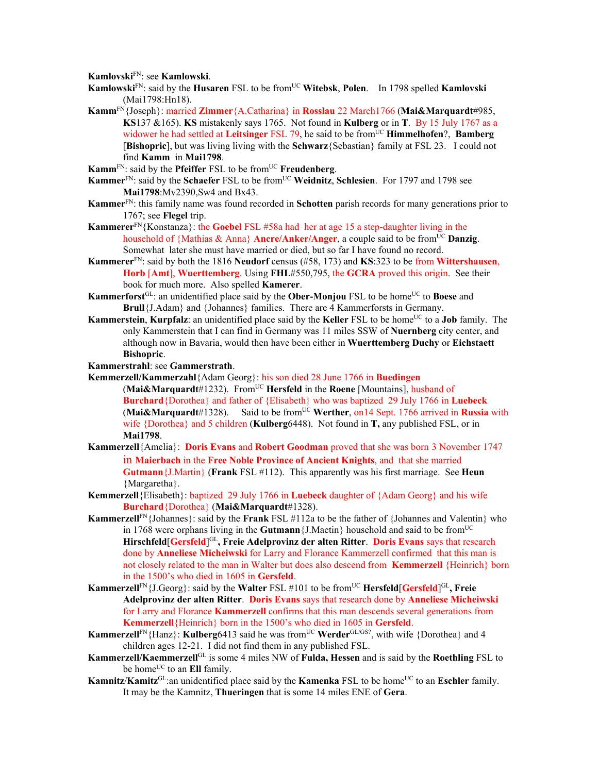**Kamlovski**FN: see **Kamlowski**.

- **Kamlowski**FN: said by the **Husaren** FSL to be fromUC **Witebsk**, **Polen**. In 1798 spelled **Kamlovski** (Mai1798:Hn18).
- **Kamm**FN{Joseph}: married **Zimmer**{A.Catharina} in **Rosslau** 22 March1766 (**Mai&Marquardt**#985, **KS**137 &165). **KS** mistakenly says 1765.Not found in **Kulberg** or in **T**. By 15 July 1767 as a widower he had settled at Leitsinger FSL 79, he said to be from<sup>UC</sup> Himmelhofen?, Bamberg [**Bishopric**], but was living living with the **Schwarz**{Sebastian} family at FSL 23. I could not find **Kamm** in **Mai1798**.
- **Kamm**<sup>FN</sup>: said by the **Pfeiffer** FSL to be from<sup>UC</sup> **Freudenberg**.
- **Kammer**<sup>FN</sup>: said by the **Schaefer** FSL to be from<sup>UC</sup> **Weidnitz**, **Schlesien**. For 1797 and 1798 see **Mai1798**:Mv2390,Sw4 and Bx43.
- **Kammer**FN: this family name was found recorded in **Schotten** parish records for many generations prior to 1767; see **Flegel** trip.
- **Kammerer**FN{Konstanza}: the **Goebel** FSL #58a had her at age 15 a step-daughter living in the household of {Mathias  $\&$  Anna} **Ancre/Anker/Anger**, a couple said to be from<sup>UC</sup> **Danzig**. Somewhat later she must have married or died, but so far I have found no record.
- **Kammerer**<sup>FN</sup>: said by both the 1816 **Neudorf** census (#58, 173) and **KS**:323 to be from **Wittershausen**, **Horb** [**Amt**], **Wuerttemberg**. Using **FHL**#550,795, the **GCRA** proved this origin. See their book for much more. Also spelled **Kamerer**.
- **Kammerforst**<sup>GL</sup>: an unidentified place said by the **Ober-Monjou** FSL to be home<sup>UC</sup> to **Boese** and **Brull**{J.Adam} and {Johannes} families. There are 4 Kammerforsts in Germany.
- **Kammerstein, Kurpfalz**: an unidentified place said by the **Keller** FSL to be home<sup>UC</sup> to a **Job** family. The only Kammerstein that I can find in Germany was 11 miles SSW of **Nuernberg** city center, and although now in Bavaria, would then have been either in **Wuerttemberg Duchy** or **Eichstaett Bishopric**.

**Kammerstrahl**: see **Gammerstrath**.

- **Kemmerzell/Kammerzahl**{Adam Georg}: his son died 28 June 1766 in **Buedingen** (Mai&Marquardt#1232). From<sup>UC</sup> Hersfeld in the Roene [Mountains], husband of **Burchard**{Dorothea} and father of {Elisabeth} who was baptized 29 July 1766 in **Luebeck** (Mai&Marquardt#1328). Said to be from<sup>UC</sup> Werther, on 14 Sept. 1766 arrived in Russia with wife {Dorothea} and 5 children (**Kulberg**6448). Not found in **T,** any published FSL, or in **Mai1798**.
- **Kammerzell**{Amelia}: **Doris Evans** and **Robert Goodman** proved that she was born 3 November 1747 in **Maierbach** in the **Free Noble Province of Ancient Knights**, and that she married **Gutmann**{J.Martin} (**Frank** FSL #112). This apparently was his first marriage. See **Heun** {Margaretha}.
- **Kemmerzell**{Elisabeth}: baptized 29 July 1766 in **Luebeck** daughter of {Adam Georg} and his wife **Burchard**{Dorothea} (**Mai&Marquardt**#1328).
- **Kammerzell**FN{Johannes}: said by the **Frank** FSL #112a to be the father of {Johannes and Valentin} who in 1768 were orphans living in the **Gutmann** {J.Maetin} household and said to be from<sup>UC</sup> **Hirschfeld**[**Gersfeld**] GL**, Freie Adelprovinz der alten Ritter**. **Doris Evans** says that research done by **Anneliese Micheiwski** for Larry and Florance Kammerzell confirmed that this man is not closely related to the man in Walter but does also descend from **Kemmerzell** {Heinrich} born in the 1500's who died in 1605 in **Gersfeld**.
- **Kammerzell**<sup>FN</sup>{J.Georg}: said by the **Walter** FSL #101 to be from<sup>UC</sup> **Hersfeld** Gersfeld <sup>GI</sup>, Freie **Adelprovinz der alten Ritter**. **Doris Evans** says that research done by **Anneliese Micheiwski** for Larry and Florance **Kammerzell** confirms that this man descends several generations from **Kemmerzell**{Heinrich} born in the 1500's who died in 1605 in **Gersfeld**.
- **Kammerzell**<sup>FN</sup>{Hanz}: **Kulberg**6413 said he was from<sup>UC</sup> Werder<sup>GL/GS?</sup>, with wife {Dorothea} and 4 children ages 12-21. I did not find them in any published FSL.
- **Kammerzell/Kaemmerzell**GL is some 4 miles NW of **Fulda, Hessen** and is said by the **Roethling** FSL to be home<sup>UC</sup> to an **Ell** family.
- **Kamnitz/Kamitz<sup>GL:</sup>**an unidentified place said by the **Kamenka** FSL to be home<sup>UC</sup> to an **Eschler** family. It may be the Kamnitz, **Thueringen** that is some 14 miles ENE of **Gera**.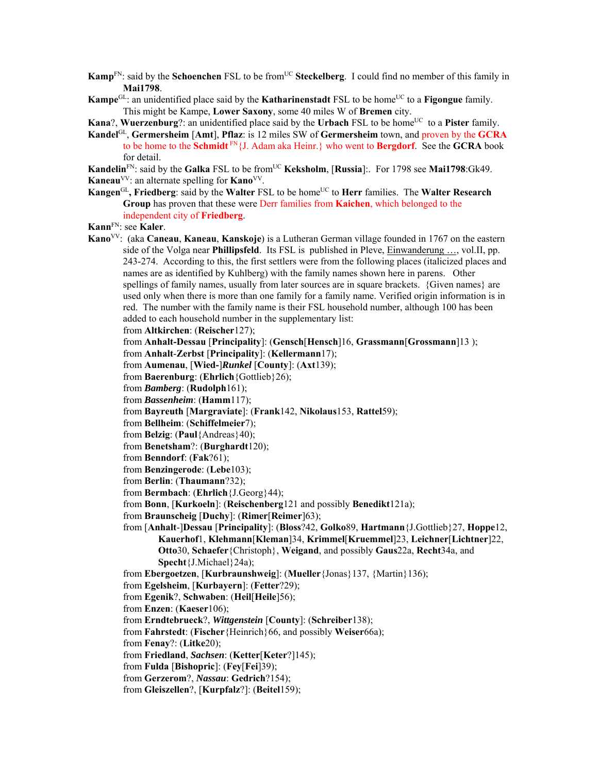- **Kamp**<sup>FN</sup>: said by the **Schoenchen** FSL to be from<sup>UC</sup> **Steckelberg**. I could find no member of this family in **Mai1798**.
- **Kampe**<sup>GL</sup>: an unidentified place said by the **Katharinenstadt** FSL to be home<sup>UC</sup> to a **Figongue** family. This might be Kampe, **Lower Saxony**, some 40 miles W of **Bremen** city.
- **Kana?, Wuerzenburg?:** an unidentified place said by the **Urbach** FSL to be home<sup>UC</sup> to a **Pister** family.
- **Kandel**GL, **Germersheim** [**Amt**], **Pflaz**: is 12 miles SW of **Germersheim** town, and proven by the **GCRA** to be home to the **Schmidt** FN{J. Adam aka Heinr.} who went to **Bergdorf**. See the **GCRA** book for detail.
- **Kandelin**<sup>FN</sup>: said by the **Galka** FSL to be from<sup>UC</sup> **Keksholm**, [Russia]:. For 1798 see Mai1798:Gk49. **Kaneau**<sup>VV</sup>: an alternate spelling for **Kano**<sup>VV</sup>.
- **Kangen**<sup>GL</sup>, Friedberg: said by the Walter FSL to be home<sup>UC</sup> to Herr families. The Walter Research **Group** has proven that these were Derr families from **Kaichen**, which belonged to the independent city of **Friedberg**.
- **Kann**FN: see **Kaler**.
- **Kano**VV: (aka **Caneau**, **Kaneau**, **Kanskoje**) is a Lutheran German village founded in 1767 on the eastern side of the Volga near **Phillipsfeld**. Its FSL is published in Pleve, Einwanderung …, vol.II, pp. 243-274. According to this, the first settlers were from the following places (italicized places and names are as identified by Kuhlberg) with the family names shown here in parens. Other spellings of family names, usually from later sources are in square brackets. {Given names} are used only when there is more than one family for a family name. Verified origin information is in red. The number with the family name is their FSL household number, although 100 has been added to each household number in the supplementary list:

from **Altkirchen**: (**Reischer**127);

- from **Anhalt-Dessau** [**Principality**]: (**Gensch**[**Hensch**]16, **Grassmann**[**Grossmann**]13 );
- from **Anhalt**-**Zerbst** [**Principality**]: (**Kellermann**17);
- from **Aumenau**, [**Wied-**]*Runkel* [**County**]: (**Axt**139);
- from **Baerenburg**: (**Ehrlich**{Gottlieb}26);
- from *Bamberg*: (**Rudolph**161);
- from *Bassenheim*: (**Hamm**117);
- from **Bayreuth** [**Margraviate**]: (**Frank**142, **Nikolaus**153, **Rattel**59);
- from **Bellheim**: (**Schiffelmeier**7);
- from **Belzig**: (**Paul**{Andreas}40);
- from **Benetsham**?: (**Burghardt**120);
- from **Benndorf**: (**Fak**?61);
- from **Benzingerode**: (**Lebe**103);
- from **Berlin**: (**Thaumann**?32);
- from **Bermbach**: (**Ehrlich**{J.Georg}44);
- from **Bonn**, [**Kurkoeln**]: (**Reischenberg**121 and possibly **Benedikt**121a);
- from **Braunscheig** [**Duchy**]: (**Rimer**[**Reimer**]63);
- from [**Anhalt**-]**Dessau** [**Principality**]: (**Bloss**?42, **Golko**89, **Hartmann**{J.Gottlieb}27, **Hoppe**12, **Kauerhof**1, **Klehmann**[**Kleman**]34, **Krimmel**[**Kruemmel**]23, **Leichner**[**Lichtner**]22, **Otto**30, **Schaefer**{Christoph}, **Weigand**, and possibly **Gaus**22a, **Recht**34a, and **Specht**{J.Michael}24a);
- from **Ebergoetzen**, [**Kurbraunshweig**]: (**Mueller**{Jonas}137, {Martin}136);
- from **Egelsheim**, [**Kurbayern**]: (**Fetter**?29);
- from **Egenik**?, **Schwaben**: (**Heil**[**Heile**]56);
- from **Enzen**: (**Kaeser**106);
- from **Erndtebrueck**?, *Wittgenstein* [**County**]: (**Schreiber**138);
- from **Fahrstedt**: (**Fischer**{Heinrich}66, and possibly **Weiser**66a);
- from **Fenay**?: (**Litke**20);
- from **Friedland**, *Sachsen*: (**Ketter**[**Keter**?]145);
- from **Fulda** [**Bishopric**]: (**Fey**[**Fei**]39);
- from **Gerzerom**?, *Nassau*: **Gedrich**?154);
- from **Gleiszellen**?, [**Kurpfalz**?]: (**Beitel**159);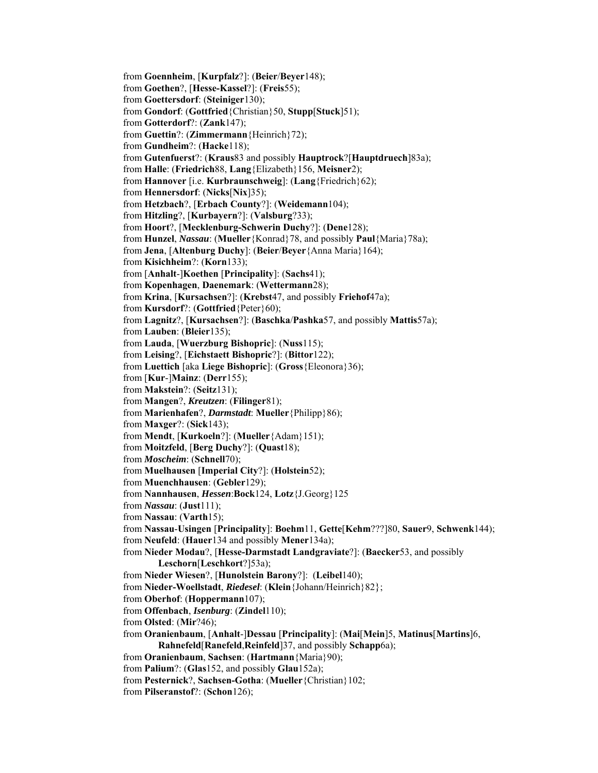from **Goennheim**, [**Kurpfalz**?]: (**Beier**/**Beyer**148); from **Goethen**?, [**Hesse-Kassel**?]: (**Freis**55); from **Goettersdorf**: (**Steiniger**130); from **Gondorf**: (**Gottfried**{Christian}50, **Stupp**[**Stuck**]51); from **Gotterdorf**?: (**Zank**147); from **Guettin**?: (**Zimmermann**{Heinrich}72); from **Gundheim**?: (**Hacke**118); from **Gutenfuerst**?: (**Kraus**83 and possibly **Hauptrock**?[**Hauptdruech**]83a); from **Halle**: (**Friedrich**88, **Lang**{Elizabeth}156, **Meisner**2); from **Hannover** [i.e. **Kurbraunschweig**]: (**Lang**{Friedrich}62); from **Hennersdorf**: (**Nicks**[**Nix**]35); from **Hetzbach**?, [**Erbach County**?]: (**Weidemann**104); from **Hitzling**?, [**Kurbayern**?]: (**Valsburg**?33); from **Hoort**?, [**Mecklenburg-Schwerin Duchy**?]: (**Dene**128); from **Hunzel**, *Nassau*: (**Mueller**{Konrad}78, and possibly **Paul**{Maria}78a); from **Jena**, [**Altenburg Duchy**]: (**Beier**/**Beyer**{Anna Maria}164); from **Kisichheim**?: (**Korn**133); from [**Anhalt**-]**Koethen** [**Principality**]: (**Sachs**41); from **Kopenhagen**, **Daenemark**: (**Wettermann**28); from **Krina**, [**Kursachsen**?]: (**Krebst**47, and possibly **Friehof**47a); from **Kursdorf**?: (**Gottfried**{Peter}60); from **Lagnitz**?, [**Kursachsen**?]: (**Baschka**/**Pashka**57, and possibly **Mattis**57a); from **Lauben**: (**Bleier**135); from **Lauda**, [**Wuerzburg Bishopric**]: (**Nuss**115); from **Leising**?, [**Eichstaett Bishopric**?]: (**Bittor**122); from **Luettich** [aka **Liege Bishopric**]: (**Gross**{Eleonora}36); from [**Kur**-]**Mainz**: (**Derr**155); from **Makstein**?: (**Seitz**131); from **Mangen**?, *Kreutzen*: (**Filinger**81); from **Marienhafen**?, *Darmstadt*: **Mueller**{Philipp}86); from **Maxger**?: (**Sick**143); from **Mendt**, [**Kurkoeln**?]: (**Mueller**{Adam}151); from **Moitzfeld**, [**Berg Duchy**?]: (**Quast**18); from *Moscheim*: (**Schnell**70); from **Muelhausen** [**Imperial City**?]: (**Holstein**52); from **Muenchhausen**: (**Gebler**129); from **Nannhausen**, *Hessen*:**Bock**124, **Lotz**{J.Georg}125 from *Nassau*: (**Just**111); from **Nassau**: (**Varth**15); from **Nassau**-**Usingen** [**Principality**]: **Boehm**11, **Gette**[**Kehm**???]80, **Sauer**9, **Schwenk**144); from **Neufeld**: (**Hauer**134 and possibly **Mener**134a); from **Nieder Modau**?, [**Hesse-Darmstadt Landgraviate**?]: (**Baecker**53, and possibly **Leschorn**[**Leschkort**?]53a); from **Nieder Wiesen**?, [**Hunolstein Barony**?]: (**Leibel**140); from **Nieder-Woellstadt**, *Riedesel*: (**Klein**{Johann/Heinrich}82}; from **Oberhof**: (**Hoppermann**107); from **Offenbach**, *Isenburg*: (**Zindel**110); from **Olsted**: (**Mir**?46); from **Oranienbaum**, [**Anhalt**-]**Dessau** [**Principality**]: (**Mai**[**Mein**]5, **Matinus**[**Martins**]6, **Rahnefeld**[**Ranefeld**,**Reinfeld**]37, and possibly **Schapp**6a); from **Oranienbaum**, **Sachsen**: (**Hartmann**{Maria}90); from **Palium**?: (**Glas**152, and possibly **Glau**152a); from **Pesternick**?, **Sachsen-Gotha**: (**Mueller**{Christian}102; from **Pilseranstof**?: (**Schon**126);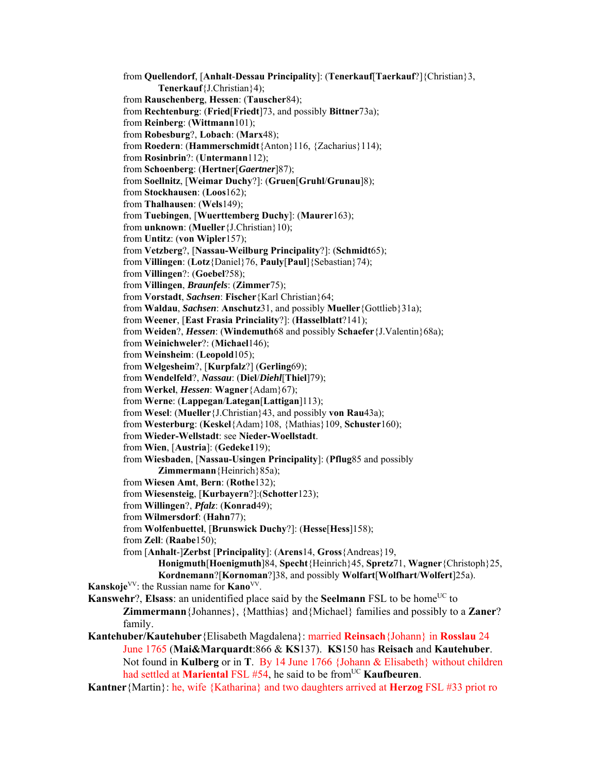- from **Quellendorf**, [**Anhalt**-**Dessau Principality**]: (**Tenerkauf**[**Taerkauf**?]{Christian}3, **Tenerkauf**{J.Christian}4); from **Rauschenberg**, **Hessen**: (**Tauscher**84); from **Rechtenburg**: (**Fried**[**Friedt**]73, and possibly **Bittner**73a); from **Reinberg**: (**Wittmann**101); from **Robesburg**?, **Lobach**: (**Marx**48); from **Roedern**: (**Hammerschmidt**{Anton}116, {Zacharius}114); from **Rosinbrin**?: (**Untermann**112); from **Schoenberg**: (**Hertner**[*Gaertner*]87); from **Soellnitz**, [**Weimar Duchy**?]: (**Gruen**[**Gruhl**/**Grunau**]8); from **Stockhausen**: (**Loos**162); from **Thalhausen**: (**Wels**149); from **Tuebingen**, [**Wuerttemberg Duchy**]: (**Maurer**163); from **unknown**: (**Mueller**{J.Christian}10); from **Untitz**: (**von Wipler**157); from **Vetzberg**?, [**Nassau-Weilburg Principality**?]: (**Schmidt**65); from **Villingen**: (**Lotz**{Daniel}76, **Pauly**[**Paul**]{Sebastian}74); from **Villingen**?: (**Goebel**?58); from **Villingen**, *Braunfels*: (**Zimmer**75); from **Vorstadt**, *Sachsen*: **Fischer**{Karl Christian}64; from **Waldau**, *Sachsen*: **Anschutz**31, and possibly **Mueller**{Gottlieb}31a); from **Weener**, [**East Frasia Princiality**?]: (**Hasselblatt**?141); from **Weiden**?, *Hessen*: (**Windemuth**68 and possibly **Schaefer**{J.Valentin}68a); from **Weinichweler**?: (**Michael**146); from **Weinsheim**: (**Leopold**105); from **Welgesheim**?, [**Kurpfalz**?] (**Gerling**69); from **Wendelfeld**?, *Nassau*: (**Diel**/*Diehl*[**Thiel**]79); from **Werkel**, *Hessen*: **Wagner**{Adam}67); from **Werne**: (**Lappegan**/**Lategan**[**Lattigan**]113); from **Wesel**: (**Mueller**{J.Christian}43, and possibly **von Rau**43a); from **Westerburg**: (**Keskel**{Adam}108, {Mathias}109, **Schuster**160); from **Wieder-Wellstadt**: see **Nieder-Woellstadt**. from **Wien**, [**Austria**]: (**Gedeke1**19); from **Wiesbaden**, [**Nassau-Usingen Principality**]: (**Pflug**85 and possibly **Zimmermann**{Heinrich}85a); from **Wiesen Amt**, **Bern**: (**Rothe**132); from **Wiesensteig**, [**Kurbayern**?]:(**Schotter**123); from **Willingen**?, *Pfalz*: (**Konrad**49); from **Wilmersdorf**: (**Hahn**77); from **Wolfenbuettel**, [**Brunswick Duchy**?]: (**Hesse**[**Hess**]158); from **Zell**: (**Raabe**150); from [**Anhalt**-]**Zerbst** [**Principality**]: (**Arens**14, **Gross**{Andreas}19, **Honigmuth**[**Hoenigmuth**]84, **Specht**{Heinrich}45, **Spretz**71, **Wagner**{Christoph}25, **Kordnemann**?[**Kornoman**?]38, and possibly **Wolfart**[**Wolfhart**/**Wolfert**]25a). **Kanskoje**<sup>VV</sup>: the Russian name for **Kano**<sup>VV</sup>. **Kanswehr**?, **Elsass**: an unidentified place said by the **Seelmann** FSL to be home<sup>UC</sup> to **Zimmermann**{Johannes}, {Matthias} and{Michael} families and possibly to a **Zaner**? family. **Kantehuber/Kautehuber**{Elisabeth Magdalena}: married **Reinsach**{Johann} in **Rosslau** 24 June 1765 (**Mai&Marquardt**:866 & **KS**137). **KS**150 has **Reisach** and **Kautehuber**. Not found in **Kulberg** or in **T**. By 14 June 1766 {Johann & Elisabeth} without children had settled at **Mariental FSL** #54, he said to be from<sup>UC</sup> **Kaufbeuren**.
- **Kantner**{Martin}: he, wife {Katharina} and two daughters arrived at **Herzog** FSL #33 priot ro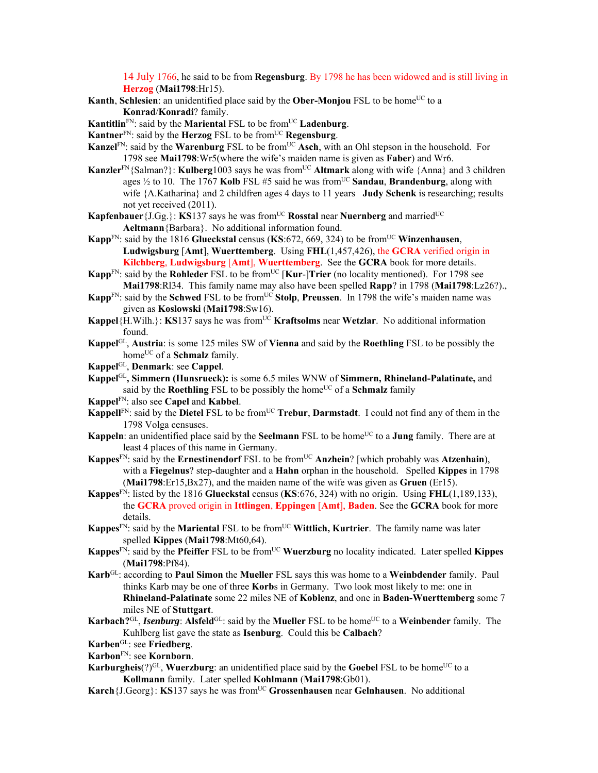14 July 1766, he said to be from **Regensburg**. By 1798 he has been widowed and is still living in **Herzog** (**Mai1798**:Hr15).

- **Kanth**, **Schlesien**: an unidentified place said by the **Ober-Monjou** FSL to be home<sup>UC</sup> to a **Konrad**/**Konradi**? family.
- **Kantitlin**<sup>FN</sup>: said by the **Mariental** FSL to be from<sup>UC</sup> **Ladenburg**.
- **Kantner**FN: said by the **Herzog** FSL to be fromUC **Regensburg**.
- **Kanzel**<sup>FN</sup>: said by the **Warenburg** FSL to be from<sup>UC</sup> Asch, with an Ohl stepson in the household. For 1798 see **Mai1798**:Wr5(where the wife's maiden name is given as **Faber**) and Wr6.
- Kanzler<sup>FN</sup>{Salman?}: Kulberg1003 says he was from<sup>UC</sup> Altmark along with wife {Anna} and 3 children ages  $\frac{1}{2}$  to 10. The 1767 Kolb FSL #5 said he was from<sup>UC</sup> Sandau, Brandenburg, along with wife {A.Katharina} and 2 childfren ages 4 days to 11 years **Judy Schenk** is researching; results not yet received (2011).
- **Kapfenbauer** { $J.Gg.$ }: **KS**137 says he was from<sup>UC</sup> **Rosstal** near **Nuernberg** and married<sup>UC</sup> **Aeltmann**{Barbara}. No additional information found.
- **Kapp**<sup>FN</sup>: said by the 1816 **Glueckstal** census (**KS**:672, 669, 324) to be from<sup>UC</sup> Winzenhausen, **Ludwigsburg** [**Amt**], **Wuerttemberg**. Using **FHL**(1,457,426), the **GCRA** verified origin in **Kilchberg**, **Ludwigsburg** [**Amt**], **Wuerttemberg**. See the **GCRA** book for more details.
- **Kapp**<sup>FN</sup>: said by the **Rohleder** FSL to be from<sup>UC</sup> [**Kur-**]Trier (no locality mentioned). For 1798 see **Mai1798**:Rl34. This family name may also have been spelled **Rapp**? in 1798 (**Mai1798**:Lz26?).,
- **Kapp**<sup>FN</sup>: said by the **Schwed** FSL to be from<sup>UC</sup> **Stolp**, **Preussen**. In 1798 the wife's maiden name was given as **Koslowski** (**Mai1798**:Sw16).
- **Kappel**{H.Wilh.}: **KS**137 says he was from<sup>UC</sup> **Kraftsolms** near **Wetzlar**. No additional information found.
- **Kappel**GL, **Austria**: is some 125 miles SW of **Vienna** and said by the **Roethling** FSL to be possibly the home<sup>UC</sup> of a **Schmalz** family.
- **Kappel**GL, **Denmark**: see **Cappel**.
- **Kappel**GL**, Simmern (Hunsrueck):** is some 6.5 miles WNW of **Simmern, Rhineland-Palatinate,** and said by the **Roethling** FSL to be possibly the home<sup>UC</sup> of a **Schmalz** family
- **Kappel**FN: also see **Capel** and **Kabbel**.
- **Kappell**<sup>FN</sup>: said by the **Dietel** FSL to be from<sup>UC</sup> **Trebur**, **Darmstadt**. I could not find any of them in the 1798 Volga censuses.
- **Kappeln**: an unidentified place said by the **Seelmann** FSL to be home<sup>UC</sup> to a **Jung** family. There are at least 4 places of this name in Germany.
- **Kappes**FN: said by the **Ernestinendorf** FSL to be fromUC **Anzhein**? [which probably was **Atzenhain**), with a **Fiegelnus**? step-daughter and a **Hahn** orphan in the household. Spelled **Kippes** in 1798 (**Mai1798**:Er15,Bx27), and the maiden name of the wife was given as **Gruen** (Er15).
- **Kappes**FN: listed by the 1816 **Glueckstal** census (**KS**:676, 324) with no origin. Using **FHL**(1,189,133), the **GCRA** proved origin in **Ittlingen**, **Eppingen** [**Amt**], **Baden**. See the **GCRA** book for more details.
- **Kappes**<sup>FN</sup>: said by the **Mariental** FSL to be from<sup>UC</sup> **Wittlich, Kurtrier**. The family name was later spelled **Kippes** (**Mai1798**:Mt60,64).
- **Kappes**<sup>FN</sup>: said by the **Pfeiffer** FSL to be from<sup>UC</sup> **Wuerzburg** no locality indicated. Later spelled **Kippes** (**Mai1798**:Pf84).
- **Karb**GL: according to **Paul Simon** the **Mueller** FSL says this was home to a **Weinbdender** family. Paul thinks Karb may be one of three **Korb**s in Germany. Two look most likely to me: one in **Rhineland-Palatinate** some 22 miles NE of **Koblenz**, and one in **Baden-Wuerttemberg** some 7 miles NE of **Stuttgart**.
- **Karbach?**GL, *Isenburg*: Alsfeld<sup>GL</sup>: said by the Mueller FSL to be home<sup>UC</sup> to a Weinbender family. The Kuhlberg list gave the state as **Isenburg**. Could this be **Calbach**?
- **Karben**GL: see **Friedberg**.
- **Karbon**FN: see **Kornborn**.
- **Karburgheis** $(?)^{GL}$ , **Wuerzburg**: an unidentified place said by the **Goebel** FSL to be home<sup>UC</sup> to a **Kollmann** family. Later spelled **Kohlmann** (**Mai1798**:Gb01).
- **Karch** {J.Georg}: **KS**137 says he was from<sup>UC</sup> **Grossenhausen** near **Gelnhausen**. No additional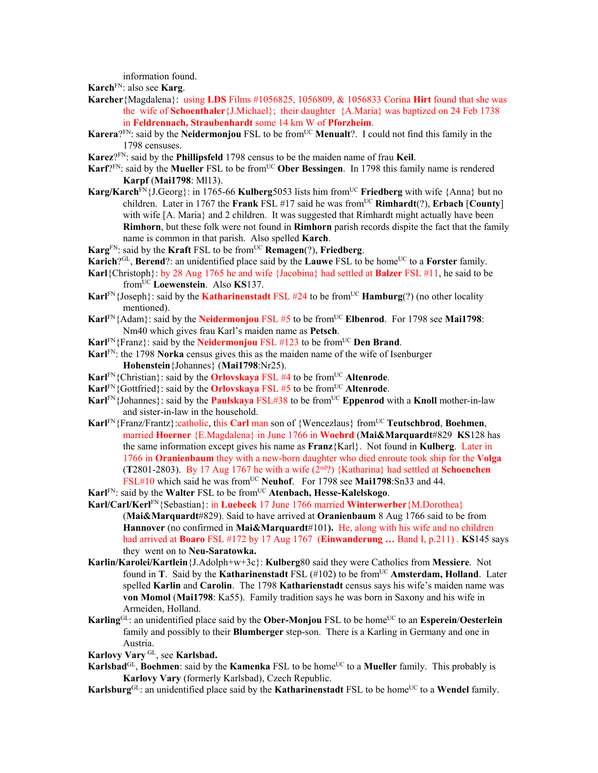information found.

**Karch**FN: also see **Karg**.

- **Karcher**{Magdalena}: using **LDS** Films #1056825, 1056809, & 1056833 Corina **Hirt** found that she was the wife of **Schoenthaler**{J.Michael}; their daughter {A.Maria} was baptized on 24 Feb 1738 in **Feldrennach, Straubenhardt** some 14 km W of **Pforzheim**.
- **Karera**?<sup>FN</sup>: said by the **Neidermonjou** FSL to be from<sup>UC</sup> **Menualt**?. I could not find this family in the 1798 censuses.
- **Karez**?FN: said by the **Phillipsfeld** 1798 census to be the maiden name of frau **Keil**.
- **Karf**?FN: said by the **Mueller** FSL to be fromUC **Ober Bessingen**. In 1798 this family name is rendered **Karpf** (**Mai1798**: Ml13).
- **Karg/Karch**FN{J.Georg}: in 1765-66 **Kulberg**5053 lists him fromUC **Friedberg** with wife {Anna} but no children. Later in 1767 the **Frank** FSL #17 said he was fromUC **Rimhardt**(?), **Erbach** [**County**] with wife [A. Maria} and 2 children. It was suggested that Rimhardt might actually have been **Rimhorn**, but these folk were not found in **Rimhorn** parish records dispite the fact that the family name is common in that parish. Also spelled **Karch**.
- **Karg**FN: said by the **Kraft** FSL to be fromUC **Remagen**(?), **Friedberg**.
- **Karich**?<sup>GL</sup>, **Berend**?: an unidentified place said by the **Lauwe** FSL to be home<sup>UC</sup> to a **Forster** family.
- **Karl**{Christoph}: by 28 Aug 1765 he and wife {Jacobina} had settled at **Balzer** FSL #11, he said to be fromUC **Loewenstein**. Also **KS**137.
- **Karl**FN{Joseph}: said by the **Katharinenstadt** FSL #24 to be from<sup>UC</sup> **Hamburg**(?) (no other locality mentioned).
- **Karl**FN{Adam}: said by the **Neidermonjou** FSL #5 to be fromUC **Elbenrod**. For 1798 see **Mai1798**: Nm40 which gives frau Karl's maiden name as **Petsch**.
- **Karl**FN{Franz}: said by the **Neidermonjou** FSL #123 to be from<sup>UC</sup> Den Brand.
- **Karl**FN: the 1798 **Norka** census gives this as the maiden name of the wife of Isenburger **Hohenstein**{Johannes} (**Mai1798**:Nr25).
- **Karl<sup>FN</sup>**{Christian}: said by the **Orlovskaya** FSL #4 to be from<sup>UC</sup> **Altenrode**.
- **Karl<sup>FN</sup>**{Gottfried}: said by the **Orlovskaya** FSL #5 to be from<sup>UC</sup> **Altenrode**.
- **Karl**<sup>FN</sup>{Johannes}: said by the **Paulskaya** FSL#38 to be from<sup>UC</sup> **Eppenrod** with a **Knoll** mother-in-law and sister-in-law in the household.
- **Karl<sup>FN</sup>**{Franz/Frantz}: catholic, this **Carl man** son of {Wencezlaus} from<sup>UC</sup> **Teutschbrod**, **Boehmen**, married **Hoerner** {E.Magdalena} in June 1766 in **Woehrd** (**Mai&Marquardt**#829 **KS**128 has the same information except gives his name as **Franz**{Karl}. Not found in **Kulberg**. Later in 1766 in **Oranienbaum** they with a new-born daughter who died enroute took ship for the **Volga** (**T**2801-2803). By 17 Aug 1767 he with a wife (2nd?) {Katharina} had settled at **Schoenchen** FSL#10 which said he was from<sup>UC</sup> Neuhof. For 1798 see Mai1798:Sn33 and 44.
- **Karl<sup>FN</sup>: said by the Walter FSL to be from<sup>UC</sup> Atenbach, Hesse-Kalelskogo.**
- **Karl/Carl/Kerl**FN{Sebastian}: in **Luebeck** 17 June 1766 married **Winterwerber**{M.Dorothea} (**Mai&Marquardt**#829). Said to have arrived at **Oranienbaum** 8 Aug 1766 said to be from **Hannover** (no confirmed in **Mai&Marquardt**#101**).** He, along with his wife and no children had arrived at **Boaro** FSL #172 by 17 Aug 1767 (**Einwanderung …** Band I, p.211) . **KS**145 says they went on to **Neu-Saratowka.**
- **Karlin/Karolei/Kartlein**{J.Adolph+w+3c}: **Kulberg**80 said they were Catholics from **Messiere**. Not found in **T**. Said by the **Katharinenstadt** FSL (#102) to be from<sup>UC</sup> **Amsterdam, Holland**. Later spelled **Karlin** and **Carolin**. The 1798 **Katharienstadt** census says his wife's maiden name was **von Momol** (**Mai1798**: Ka55). Family tradition says he was born in Saxony and his wife in Armeiden, Holland.
- **Karling**<sup>GL</sup>: an unidentified place said by the **Ober-Monjou** FSL to be home<sup>UC</sup> to an **Esperein**/**Oesterlein** family and possibly to their **Blumberger** step-son. There is a Karling in Germany and one in Austria.
- **Karlovy Vary** GL, see **Karlsbad.**
- **Karlsbad**<sup>GL</sup>, **Boehmen**: said by the **Kamenka** FSL to be home<sup>UC</sup> to a **Mueller** family. This probably is **Karlovy Vary** (formerly Karlsbad), Czech Republic.
- **Karlsburg**<sup>GL</sup>: an unidentified place said by the **Katharinenstadt** FSL to be home<sup>UC</sup> to a **Wendel** family.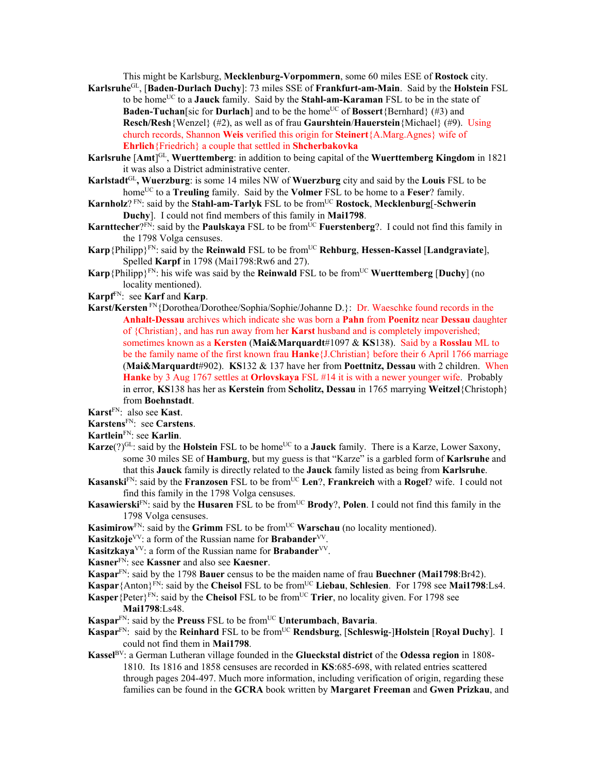This might be Karlsburg, **Mecklenburg-Vorpommern**, some 60 miles ESE of **Rostock** city.

- **Karlsruhe**GL, [**Baden-Durlach Duchy**]: 73 miles SSE of **Frankfurt-am-Main**. Said by the **Holstein** FSL to be homeUC to a **Jauck** family. Said by the **Stahl-am-Karaman** FSL to be in the state of **Baden-Tuchan**[sic for **Durlach**] and to be the home<sup>UC</sup> of **Bossert**{Bernhard} (#3) and **Resch/Resh**{Wenzel} (#2), as well as of frau **Gaurshtein**/**Hauerstein**{Michael} (#9). Using church records, Shannon **Weis** verified this origin for **Steinert**{A.Marg.Agnes} wife of **Ehrlich**{Friedrich} a couple that settled in **Shcherbakovka**
- **Karlsruhe** [**Amt**] GL, **Wuerttemberg**: in addition to being capital of the **Wuerttemberg Kingdom** in 1821 it was also a District administrative center.
- **Karlstadt**GL**, Wuerzburg**: is some 14 miles NW of **Wuerzburg** city and said by the **Louis** FSL to be home<sup>UC</sup> to a **Treuling** family. Said by the **Volmer** FSL to be home to a **Feser**? family.
- **Karnholz**? FN: said by the **Stahl-am-Tarlyk** FSL to be from<sup>UC</sup> Rostock, Mecklenburg[-Schwerin **Duchy**]. I could not find members of this family in **Mai1798**.
- **Karnttecher**?FN: said by the **Paulskaya** FSL to be from<sup>UC</sup> **Fuerstenberg**?. I could not find this family in the 1798 Volga censuses.
- **Karp**{Philipp}FN: said by the **Reinwald** FSL to be fromUC **Rehburg**, **Hessen-Kassel** [**Landgraviate**], Spelled **Karpf** in 1798 (Mai1798:Rw6 and 27).
- **Karp**{Philipp}<sup>FN</sup>: his wife was said by the **Reinwald** FSL to be from<sup>UC</sup> **Wuerttemberg** [Duchy] (no locality mentioned).
- **Karpf**FN: see **Karf** and **Karp**.
- **Karst/Kersten** FN{Dorothea/Dorothee/Sophia/Sophie/Johanne D.}: Dr. Waeschke found records in the **Anhalt-Dessau** archives which indicate she was born a **Pahn** from **Poenitz** near **Dessau** daughter of {Christian}, and has run away from her **Karst** husband and is completely impoverished; sometimes known as a **Kersten** (**Mai&Marquardt**#1097 & **KS**138). Said by a **Rosslau** ML to be the family name of the first known frau **Hanke**{J.Christian} before their 6 April 1766 marriage (**Mai&Marquardt**#902). **KS**132 & 137 have her from **Poettnitz, Dessau** with 2 children. When **Hanke** by 3 Aug 1767 settles at **Orlovskaya** FSL #14 it is with a newer younger wife. Probably in error, **KS**138 has her as **Kerstein** from **Scholitz, Dessau** in 1765 marrying **Weitzel**{Christoph} from **Boehnstadt**.

#### **Karstens**FN: see **Carstens**.

- **Kartlein**FN: see **Karlin**.
- **Karze**(?)<sup>GL</sup>: said by the **Holstein** FSL to be home<sup>UC</sup> to a **Jauck** family. There is a Karze, Lower Saxony, some 30 miles SE of **Hamburg**, but my guess is that "Karze" is a garbled form of **Karlsruhe** and that this **Jauck** family is directly related to the **Jauck** family listed as being from **Karlsruhe**.
- **Kasanski**FN: said by the **Franzosen** FSL to be fromUC **Len**?, **Frankreich** with a **Rogel**? wife. I could not find this family in the 1798 Volga censuses.
- **Kasawierski**FN: said by the **Husaren** FSL to be from<sup>UC</sup> **Brody**?, **Polen**. I could not find this family in the 1798 Volga censuses.
- **Kasimirow**<sup>FN</sup>: said by the **Grimm** FSL to be from<sup>UC</sup> **Warschau** (no locality mentioned).
- **Kasitzkoje**<sup>VV</sup>: a form of the Russian name for **Brabander**<sup>VV</sup>.
- **Kasitzkaya**<sup>VV</sup>: a form of the Russian name for **Brabander**<sup>VV</sup>.
- **Kasner**FN: see **Kassner** and also see **Kaesner**.
- **Kaspar**FN: said by the 1798 **Bauer** census to be the maiden name of frau **Buechner (Mai1798**:Br42).
- **Kaspar**{Anton}<sup>FN</sup>: said by the **Cheisol** FSL to be from<sup>UC</sup> **Liebau**, **Schlesien**. For 1798 see **Mai1798**:Ls4.
- **Kasper** {Peter}<sup>FN</sup>: said by the **Cheisol** FSL to be from<sup>UC</sup> **Trier**, no locality given. For 1798 see **Mai1798**:Ls48.
- **Kaspar**<sup>FN</sup>: said by the **Preuss** FSL to be from<sup>UC</sup> **Unterumbach**, **Bavaria**.
- **Kaspar**FN: said by the **Reinhard** FSL to be fromUC **Rendsburg**, [**Schleswig**-]**Holstein** [**Royal Duchy**]. I could not find them in **Mai1798**.
- **Kassel**BV: a German Lutheran village founded in the **Glueckstal district** of the **Odessa region** in 1808- 1810. Its 1816 and 1858 censuses are recorded in **KS**:685-698, with related entries scattered through pages 204-497. Much more information, including verification of origin, regarding these families can be found in the **GCRA** book written by **Margaret Freeman** and **Gwen Prizkau**, and

**Karst**FN: also see **Kast**.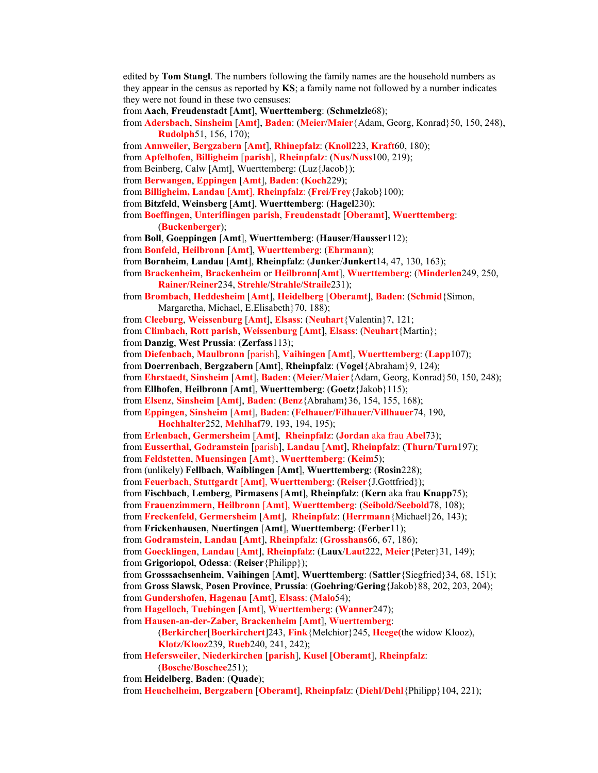edited by **Tom Stangl**. The numbers following the family names are the household numbers as they appear in the census as reported by **KS**; a family name not followed by a number indicates they were not found in these two censuses:

from **Aach**, **Freudenstadt** [**Amt**], **Wuerttemberg**: (**Schmelzle**68);

from **Adersbach**, **Sinsheim** [**Amt**], **Baden**: (**Meier**/**Maier**{Adam, Georg, Konrad}50, 150, 248), **Rudolph**51, 156, 170);

from **Annweiler**, **Bergzabern** [**Amt**], **Rhinepfalz**: (**Knoll**223, **Kraft**60, 180);

from **Apfelhofen**, **Billigheim** [**parish**], **Rheinpfalz**: (**Nus**/**Nuss**100, 219);

from Beinberg, Calw [Amt], Wuerttemberg: (Luz{Jacob});

from **Berwangen**, **Eppingen** [**Amt**], **Baden**: (**Koch**229);

from **Billigheim, Landau** [**Amt**], **Rheinpfalz**: (**Frei**/**Frey**{Jakob}100);

from **Bitzfeld**, **Weinsberg** [**Amt**], **Wuerttemberg**: (**Hagel**230);

from **Boeffingen**, **Unteriflingen parish**, **Freudenstadt** [**Oberamt**], **Wuerttemberg**: (**Buckenberger**);

from **Boll**, **Goeppingen** [**Amt**], **Wuerttemberg**: (**Hauser**/**Hausser**112);

from **Bonfeld**, **Heilbronn** [**Amt**], **Wuerttemberg**: (**Ehrmann**);

from **Bornheim**, **Landau** [**Amt**], **Rheinpfalz**: (**Junker**/**Junkert**14, 47, 130, 163);

from **Brackenheim**, **Brackenheim** or **Heilbronn**[**Amt**], **Wuerttemberg**: (**Minderlen**249, 250, **Rainer/Reiner**234, **Strehle**/**Strahle**/**Straile**231);

from **Brombach**, **Heddesheim** [**Amt**], **Heidelberg** [**Oberamt**], **Baden**: (**Schmid**{Simon, Margaretha, Michael, E.Elisabeth}70, 188);

from **Cleeburg**, **Weissenburg** [**Amt**], **Elsass**: (**Neuhart**{Valentin}7, 121;

from **Climbach**, **Rott parish**, **Weissenburg** [**Amt**], **Elsass**: (**Neuhart**{Martin};

from **Danzig**, **West Prussia**: (**Zerfass**113);

from **Diefenbach**, **Maulbronn** [parish], **Vaihingen** [**Amt**], **Wuerttemberg**: (**Lapp**107);

from **Doerrenbach**, **Bergzabern** [**Amt**], **Rheinpfalz**: (**Vogel**{Abraham}9, 124);

from **Ehrstaedt**, **Sinsheim** [**Amt**], **Baden**: (**Meier**/**Maier**{Adam, Georg, Konrad}50, 150, 248);

from **Ellhofen**, **Heilbronn** [**Amt**], **Wuerttemberg**: (**Goetz**{Jakob}115);

from **Elsenz**, **Sinsheim** [**Amt**], **Baden**: (**Benz**{Abraham}36, 154, 155, 168);

from **Eppingen**, **Sinsheim** [**Amt**], **Baden**: (**Felhauer**/**Filhauer**/**Villhauer**74, 190, **Hochhalter**252, **Mehlhaf**79, 193, 194, 195);

from **Erlenbach**, **Germersheim** [**Amt**], **Rheinpfalz**: (**Jordan** aka frau **Abel**73);

from **Eusserthal**, **Godramstein** [parish], **Landau** [**Amt**], **Rheinpfalz**: (**Thurn**/**Turn**197);

from **Feldstetten**, **Muensingen** [**Amt**}, **Wuerttemberg**: (**Keim**5);

from (unlikely) **Fellbach**, **Waiblingen** [**Amt**], **Wuerttemberg**: (**Rosin**228);

from **Feuerbach**, **Stuttgardt** [**Amt**], **Wuerttemberg**: (**Reiser**{J.Gottfried});

from **Fischbach**, **Lemberg**, **Pirmasens** [**Amt**], **Rheinpfalz**: (**Kern** aka frau **Knapp**75);

from **Frauenzimmern**, **Heilbronn** [**Amt**], **Wuerttemberg**: (**Seibold**/**Seebold**78, 108);

from **Freckenfeld**, **Germersheim** [**Amt**], **Rheinpfalz**: (**Herrmann**{Michael}26, 143);

from **Frickenhausen**, **Nuertingen** [**Amt**], **Wuerttemberg**: (**Ferber**11);

from **Godramstein**, **Landau** [**Amt**], **Rheinpfalz**: (**Grosshans**66, 67, 186);

from **Goecklingen**, **Landau** [**Amt**], **Rheinpfalz**: (**Laux**/**Laut**222, **Meier**{Peter}31, 149);

from **Grigoriopol**, **Odessa**: (**Reiser**{Philipp});

from **Grosssachsenheim**, **Vaihingen** [**Amt**], **Wuerttemberg**: (**Sattler**{Siegfried}34, 68, 151);

from **Gross Slawsk**, **Posen Province**, **Prussia**: (**Goehring**/**Gering**{Jakob}88, 202, 203, 204); from **Gundershofen**, **Hagenau** [**Amt**], **Elsass**: (**Malo**54);

from **Hagelloch**, **Tuebingen** [**Amt**], **Wuerttemberg**: (**Wanner**247);

from **Hausen-an-der-Zaber**, **Brackenheim** [**Amt**], **Wuerttemberg**:

(**Berkircher**[**Boerkirchert**]243, **Fink**{Melchior}245, **Heege(**the widow Klooz), **Klotz**/**Klooz**239, **Rueb**240, 241, 242);

from **Hefersweiler**, **Niederkirchen** [**parish**], **Kusel** [**Oberamt**], **Rheinpfalz**:

(**Bosche**/**Boschee**251);

from **Heidelberg**, **Baden**: (**Quade**);

from **Heuchelheim**, **Bergzabern** [**Oberamt**], **Rheinpfalz**: (**Diehl**/**Dehl**{Philipp}104, 221);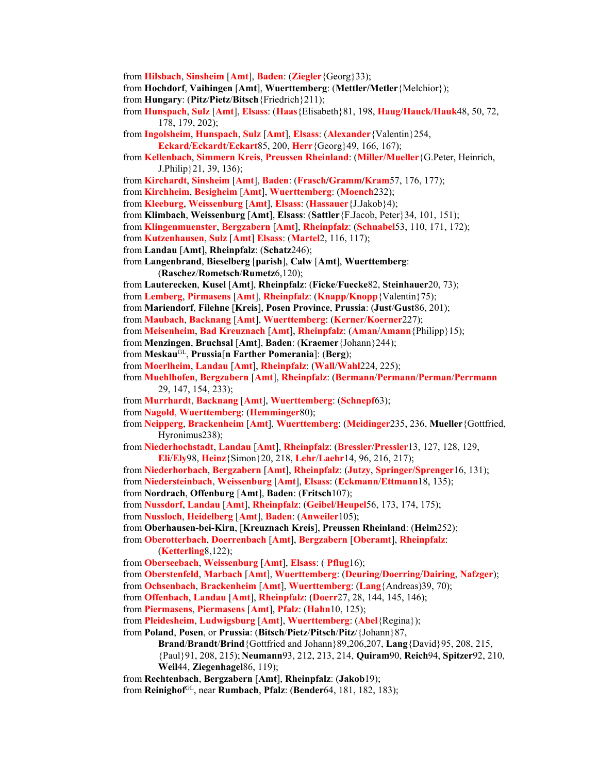from **Hilsbach**, **Sinsheim** [**Amt**], **Baden**: (**Ziegler**{Georg}33);

from **Hochdorf**, **Vaihingen** [**Amt**], **Wuerttemberg**: (**Mettler/Metler**{Melchior});

from **Hungary**: (**Pitz**/**Pietz**/**Bitsch**{Friedrich}211);

from **Hunspach**, **Sulz** [**Amt**], **Elsass**: (**Haas**{Elisabeth}81, 198, **Haug**/**Hauck/Hauk**48, 50, 72, 178, 179, 202);

from **Ingolsheim**, **Hunspach**, **Sulz** [**Amt**], **Elsass**: (**Alexander**{Valentin}254,

**Eckard**/**Eckardt**/**Eckart**85, 200, **Herr**{Georg}49, 166, 167);

from **Kellenbach**, **Simmern Kreis**, **Preussen Rheinland**: (**Miller/Mueller**{G.Peter, Heinrich, J.Philip}21, 39, 136);

from **Kirchardt**, **Sinsheim** [**Amt**], **Baden**: (**Frasch/Gramm/Kram**57, 176, 177);

from **Kirchheim**, **Besigheim** [**Amt**], **Wuerttemberg**: (**Moench**232);

from **Kleeburg**, **Weissenburg** [**Amt**], **Elsass**: (**Hassauer**{J.Jakob}4);

from **Klimbach**, **Weissenburg** [**Amt**], **Elsass**: (**Sattler**{F.Jacob, Peter}34, 101, 151);

from **Klingenmuenster**, **Bergzabern** [**Amt**], **Rheinpfalz**: (**Schnabel**53, 110, 171, 172);

from **Kutzenhausen**, **Sulz** [**Amt**] **Elsass**: (**Martel**2, 116, 117);

from **Landau** [**Amt**], **Rheinpfalz**: (**Schatz**246);

from **Langenbrand**, **Bieselberg** [**parish**], **Calw** [**Amt**], **Wuerttemberg**: (**Raschez**/**Rometsch**/**Rumetz**6,120);

from **Lauterecken**, **Kusel** [**Amt**], **Rheinpfalz**: (**Ficke**/**Fuecke**82, **Steinhauer**20, 73);

from **Lemberg**, **Pirmasens** [**Amt**], **Rheinpfalz**: (**Knapp**/**Knopp**{Valentin}75);

from **Mariendorf**, **Filehne** [**Kreis**], **Posen Province**, **Prussia**: (**Just**/**Gust**86, 201);

from **Maubach**, **Backnang** [**Amt**], **Wuerttemberg**: (**Kerner**/**Koerner**227);

from **Meisenheim**, **Bad Kreuznach** [**Amt**], **Rheinpfalz**: (**Aman**/**Amann**{Philipp}15);

from **Menzingen**, **Bruchsal** [**Amt**], **Baden**: (**Kraemer**{Johann}244);

from **Meskau**GL, **Prussia**[**n Farther Pomerania**]: (**Berg**);

from **Moerlheim**, **Landau** [**Amt**], **Rheinpfalz**: (**Wall**/**Wahl**224, 225);

from **Muehlhofen**, **Bergzabern** [**Amt**], **Rheinpfalz**: (**Bermann**/**Permann**/**Perman**/**Perrmann** 29, 147, 154, 233);

from **Murrhardt**, **Backnang** [**Amt**], **Wuerttemberg**: (**Schnepf**63);

from **Nagold**, **Wuerttemberg**: (**Hemminger**80);

from **Neipperg**, **Brackenheim** [**Amt**], **Wuerttemberg**: (**Meidinger**235, 236, **Mueller**{Gottfried, Hyronimus238);

from **Niederhochstadt**, **Landau** [**Amt**], **Rheinpfalz**: (**Bressler**/**Pressler**13, 127, 128, 129, **Eli**/**Ely**98, **Heinz**{Simon}20, 218, **Lehr**/**Laehr**14, 96, 216, 217);

from **Niederhorbach**, **Bergzabern** [**Amt**], **Rheinpfalz**: (**Jutzy**, **Springer/Sprenger**16, 131);

from **Niedersteinbach**, **Weissenburg** [**Amt**], **Elsass**: (**Eckmann**/**Ettmann**18, 135);

from **Nordrach**, **Offenburg** [**Amt**], **Baden**: (**Fritsch**107);

from **Nussdorf**, **Landau** [**Amt**], **Rheinpfalz**: (**Geibel**/**Heupel**56, 173, 174, 175);

from **Nussloch**, **Heidelberg** [**Amt**], **Baden**: (**Anweiler**105);

from **Oberhausen-bei-Kirn**, [**Kreuznach Kreis**], **Preussen Rheinland**: (**Helm**252);

from **Oberotterbach**, **Doerrenbach** [**Amt**], **Bergzabern** [**Oberamt**], **Rheinpfalz**: (**Ketterling**8,122);

from **Oberseebach**, **Weissenburg** [**Amt**], **Elsass**: ( **Pflug**16); from **Oberstenfeld**, **Marbach** [**Amt**], **Wuerttemberg**: (**Deuring**/**Doerring**/**Dairing**, **Nafzger**);

from **Ochsenbach**, **Brackenheim** [**Amt**], **Wuerttemberg**: (**Lang**{Andreas)39, 70);

from **Offenbach**, **Landau** [**Amt**], **Rheinpfalz**: (**Doerr**27, 28, 144, 145, 146);

from **Piermasens**, **Piermasens** [**Amt**], **Pfalz**: (**Hahn**10, 125);

from **Pleidesheim**, **Ludwigsburg** [**Amt**], **Wuerttemberg**: (**Abel**{Regina});

from **Poland**, **Posen**, or **Prussia**: (**Bitsch**/**Pietz**/**Pitsch**/**Pitz**/{Johann}87, **Brand**/**Brandt**/**Brind**{Gottfried and Johann}89,206,207, **Lang**{David}95, 208, 215,

{Paul}91, 208, 215); **Neumann**93, 212, 213, 214, **Quiram**90, **Reich**94, **Spitzer**92, 210, **Weil**44, **Ziegenhagel**86, 119);

from **Rechtenbach**, **Bergzabern** [**Amt**], **Rheinpfalz**: (**Jakob**19);

from **Reinighof**GL, near **Rumbach**, **Pfalz**: (**Bender**64, 181, 182, 183);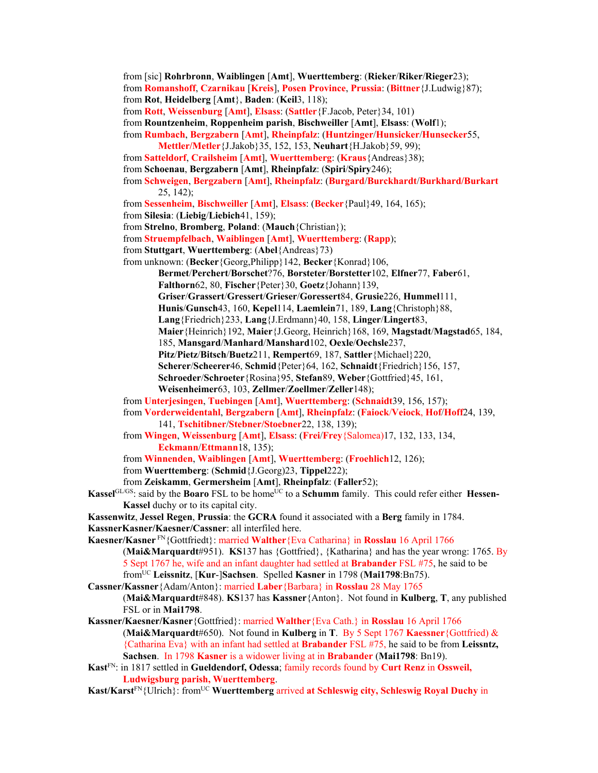from [sic] **Rohrbronn**, **Waiblingen** [**Amt**], **Wuerttemberg**: (**Rieker**/**Riker**/**Rieger**23); from **Romanshoff**, **Czarnikau** [**Kreis**], **Posen Province**, **Prussia**: (**Bittner**{J.Ludwig}87); from **Rot**, **Heidelberg** [**Amt**}, **Baden**: (**Keil**3, 118); from **Rott**, **Weissenburg** [**Amt**], **Elsass**: (**Sattler**{F.Jacob, Peter}34, 101) from **Rountzenheim**, **Roppenheim parish**, **Bischweiller** [**Amt**], **Elsass**: (**Wolf**1); from **Rumbach**, **Bergzabern** [**Amt**], **Rheinpfalz**: (**Huntzinger**/**Hunsicker**/**Hunsecker**55, **Mettler/Metler**{J.Jakob}35, 152, 153, **Neuhart**{H.Jakob}59, 99); from **Satteldorf**, **Crailsheim** [**Amt**], **Wuerttemberg**: (**Kraus**{Andreas}38); from **Schoenau**, **Bergzabern** [**Amt**], **Rheinpfalz**: (**Spiri**/**Spiry**246); from **Schweigen**, **Bergzabern** [**Amt**], **Rheinpfalz**: (**Burgard**/**Burckhardt**/**Burkhard/Burkart** 25, 142); from **Sessenheim**, **Bischweiller** [**Amt**], **Elsass**: (**Becker**{Paul}49, 164, 165); from **Silesia**: (**Liebig**/**Liebich**41, 159); from **Strelno**, **Bromberg**, **Poland**: (**Mauch**{Christian}); from **Struempfelbach**, **Waiblingen** [**Amt**], **Wuerttemberg**: (**Rapp**); from **Stuttgart**, **Wuerttemberg**: (**Abel**{Andreas}73) from unknown: (**Becker**{Georg,Philipp}142, **Becker**{Konrad}106, **Bermet**/**Perchert**/**Borschet**?76, **Borsteter**/**Borstetter**102, **Elfner**77, **Faber**61, **Falthorn**62, 80, **Fischer**{Peter}30, **Goetz**{Johann}139, **Griser**/**Grassert**/**Gressert**/**Grieser**/**Goressert**84, **Grusie**226, **Hummel**111, **Hunis**/**Gunsch**43, 160, **Kepel**114, **Laemlein**71, 189, **Lang**{Christoph}88, **Lang**{Friedrich}233, **Lang**{J.Erdmann}40, 158, **Linger**/**Lingert**83, **Maier**{Heinrich}192, **Maier**{J.Georg, Heinrich}168, 169, **Magstadt**/**Magstad**65, 184, 185, **Mansgard**/**Manhard**/**Manshard**102, **Oexle**/**Oechsle**237, **Pitz**/**Pietz**/**Bitsch**/**Buetz**211, **Rempert**69, 187, **Sattler**{Michael}220, **Scherer**/**Scheerer**46, **Schmid**{Peter}64, 162, **Schnaidt**{Friedrich}156, 157, **Schroeder**/**Schroeter**{Rosina}95, **Stefan**89, **Weber**{Gottfried}45, 161, **Weisenheimer**63, 103, **Zellmer**/**Zoellmer**/**Zeller**148); from **Unterjesingen**, **Tuebingen** [**Amt**], **Wuerttemberg**: (**Schnaidt**39, 156, 157); from **Vorderweidentahl**, **Bergzabern** [**Amt**], **Rheinpfalz**: (**Faiock**/**Veiock**, **Hof**/**Hoff**24, 139, 141, **Tschitibner**/**Stebner/Stoebner**22, 138, 139); from **Wingen**, **Weissenburg** [**Amt**], **Elsass**: (**Frei**/**Frey**{Salomea)17, 132, 133, 134, **Eckmann**/**Ettmann**18, 135); from **Winnenden**, **Waiblingen** [**Amt**], **Wuerttemberg**: (**Froehlich**12, 126); from **Wuerttemberg**: (**Schmid**{J.Georg)23, **Tippel**222); from **Zeiskamm**, **Germersheim** [**Amt**], **Rheinpfalz**: (**Faller**52); **Kassel**<sup>GL/GS</sup>: said by the **Boaro** FSL to be home<sup>UC</sup> to a **Schumm** family. This could refer either **Hessen**-**Kassel** duchy or to its capital city. **Kassenwitz**, **Jessel Regen**, **Prussia**: the **GCRA** found it associated with a **Berg** family in 1784. **KassnerKasner/Kaesner/Cassner**: all interfiled here. **Kaesner/Kasner** FN{Gottfriedt}: married **Walther**{Eva Catharina} in **Rosslau** 16 April 1766 (**Mai&Marquardt**#951). **KS**137 has {Gottfried}, {Katharina} and has the year wrong: 1765. By 5 Sept 1767 he, wife and an infant daughter had settled at **Brabander** FSL #75, he said to be fromUC **Leissnitz**, [**Kur**-]**Sachsen**. Spelled **Kasner** in 1798 (**Mai1798**:Bn75). **Cassner/Kassner**{Adam/Anton}: married **Laber**{Barbara} in **Rosslau** 28 May 1765 (**Mai&Marquardt**#848). **KS**137 has **Kassner**{Anton}. Not found in **Kulberg**, **T**, any published FSL or in **Mai1798**. **Kassner/Kaesner/Kasner**{Gottfried}: married **Walther**{Eva Cath.} in **Rosslau** 16 April 1766 (**Mai&Marquardt**#650). Not found in **Kulberg** in **T**. By 5 Sept 1767 **Kaessner**{Gottfried) & {Catharina Eva} with an infant had settled at **Brabander** FSL #75, he said to be from **Leissntz, Sachsen**. In 1798 **Kasner** is a widower living at in **Brabander** (**Mai1798**: Bn19). **Kast**FN: in 1817 settled in **Gueldendorf, Odessa**; family records found by **Curt Renz** in **Ossweil, Ludwigsburg parish, Wuerttemberg**.

**Kast/Karst**FN{Ulrich}: fromUC **Wuerttemberg** arrived **at Schleswig city, Schleswig Royal Duchy** in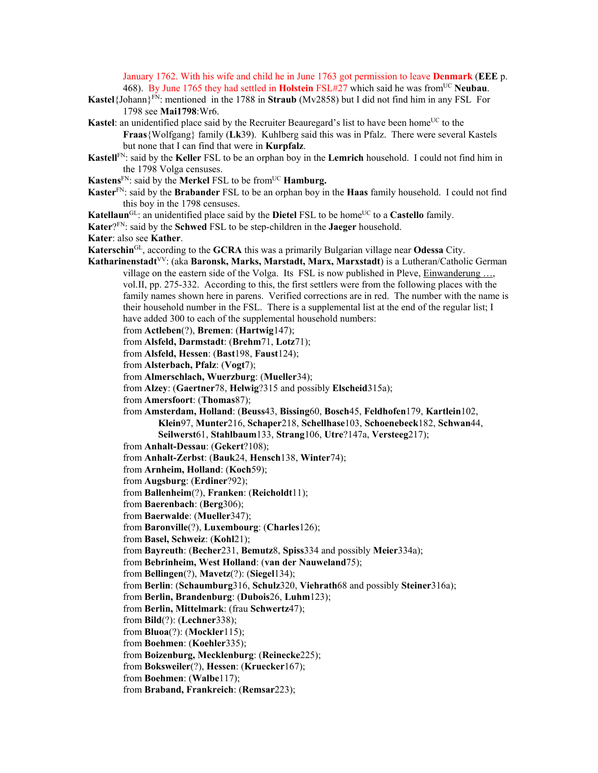January 1762. With his wife and child he in June 1763 got permission to leave **Denmark** (**EEE** p. 468). By June 1765 they had settled in **Holstein** FSL#27 which said he was fromUC **Neubau**.

- **Kastel**{Johann}FN: mentioned in the 1788 in **Straub** (Mv2858) but I did not find him in any FSL For 1798 see **Mai1798**:Wr6.
- **Kastel**: an unidentified place said by the Recruiter Beauregard's list to have been home<sup>UC</sup> to the **Fraas**{Wolfgang} family (**Lk**39). Kuhlberg said this was in Pfalz. There were several Kastels but none that I can find that were in **Kurpfalz**.
- **Kastell**FN: said by the **Keller** FSL to be an orphan boy in the **Lemrich** household. I could not find him in the 1798 Volga censuses.
- **Kastens**<sup>FN</sup>: said by the **Merkel** FSL to be from<sup>UC</sup> **Hamburg.**
- **Kaster**FN: said by the **Brabander** FSL to be an orphan boy in the **Haas** family household. I could not find this boy in the 1798 censuses.
- **Katellaun**<sup>GL</sup>: an unidentified place said by the **Dietel** FSL to be home<sup>UC</sup> to a **Castello** family.
- **Kater**?FN: said by the **Schwed** FSL to be step-children in the **Jaeger** household.
- **Kater**: also see **Kather**.
- **Katerschin**GL, according to the **GCRA** this was a primarily Bulgarian village near **Odessa** City.
- **Katharinenstadt**VV: (aka **Baronsk, Marks, Marstadt, Marx, Marxstadt**) is a Lutheran/Catholic German village on the eastern side of the Volga. Its FSL is now published in Pleve, Einwanderung …, vol.II, pp. 275-332. According to this, the first settlers were from the following places with the family names shown here in parens. Verified corrections are in red. The number with the name is their household number in the FSL. There is a supplemental list at the end of the regular list; I have added 300 to each of the supplemental household numbers:
	- from **Actleben**(?), **Bremen**: (**Hartwig**147);
	- from **Alsfeld, Darmstadt**: (**Brehm**71, **Lotz**71);
	- from **Alsfeld, Hessen**: (**Bast**198, **Faust**124);
	- from **Alsterbach, Pfalz**: (**Vogt**7);
	- from **Almerschlach, Wuerzburg**: (**Mueller**34);
	- from **Alzey**: (**Gaertner**78, **Helwig**?315 and possibly **Elscheid**315a);
	- from **Amersfoort**: (**Thomas**87);
	- from **Amsterdam, Holland**: (**Beuss**43, **Bissing**60, **Bosch**45, **Feldhofen**179, **Kartlein**102, **Klein**97, **Munter**216, **Schaper**218, **Schellhase**103, **Schoenebeck**182, **Schwan**44, **Seilwerst**61, **Stahlbaum**133, **Strang**106, **Utre**?147a, **Versteeg**217);
	- from **Anhalt-Dessau**: (**Gekert**?108);
	- from **Anhalt-Zerbst**: (**Bauk**24, **Hensch**138, **Winter**74);
	- from **Arnheim, Holland**: (**Koch**59);
	- from **Augsburg**: (**Erdiner**?92);
	- from **Ballenheim**(?), **Franken**: (**Reicholdt**11);
	- from **Baerenbach**: (**Berg**306);
	- from **Baerwalde**: (**Mueller**347);
	- from **Baronville**(?), **Luxembourg**: (**Charles**126);
	- from **Basel, Schweiz**: (**Kohl**21);
	- from **Bayreuth**: (**Becher**231, **Bemutz**8, **Spiss**334 and possibly **Meier**334a);
	- from **Bebrinheim, West Holland**: (**van der Nauweland**75);
	- from **Bellingen**(?), **Mavetz**(?): (**Siegel**134);
	- from **Berlin**: (**Schaumburg**316, **Schulz**320, **Viehrath**68 and possibly **Steiner**316a);
	- from **Berlin, Brandenburg**: (**Dubois**26, **Luhm**123);
	- from **Berlin, Mittelmark**: (frau **Schwertz**47);
	- from **Bild**(?): (**Lechner**338);
	- from **Bluoa**(?): (**Mockler**115);
	- from **Boehmen**: (**Koehler**335);
	- from **Boizenburg, Mecklenburg**: (**Reinecke**225);
	- from **Boksweiler**(?), **Hessen**: (**Kruecker**167);
	- from **Boehmen**: (**Walbe**117);
	- from **Braband, Frankreich**: (**Remsar**223);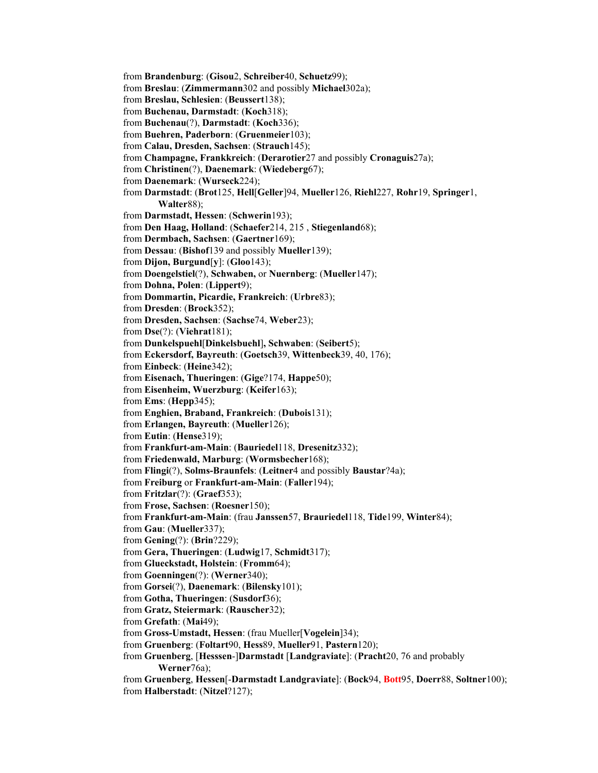from **Brandenburg**: (**Gisou**2, **Schreiber**40, **Schuetz**99); from **Breslau**: (**Zimmermann**302 and possibly **Michael**302a); from **Breslau, Schlesien**: (**Beussert**138); from **Buchenau, Darmstadt**: (**Koch**318); from **Buchenau**(?), **Darmstadt**: (**Koch**336); from **Buehren, Paderborn**: (**Gruenmeier**103); from **Calau, Dresden, Sachsen**: (**Strauch**145); from **Champagne, Frankkreich**: (**Derarotier**27 and possibly **Cronaguis**27a); from **Christinen**(?), **Daenemark**: (**Wiedeberg**67); from **Daenemark**: (**Wurseck**224); from **Darmstadt**: (**Brot**125, **Hell**[**Geller**]94, **Mueller**126, **Riehl**227, **Rohr**19, **Springer**1, **Walter**88); from **Darmstadt, Hessen**: (**Schwerin**193); from **Den Haag, Holland**: (**Schaefer**214, 215 , **Stiegenland**68); from **Dermbach, Sachsen**: (**Gaertner**169); from **Dessau**: (**Bishof**139 and possibly **Mueller**139); from **Dijon, Burgund**[**y**]: (**Gloo**143); from **Doengelstiel**(?), **Schwaben,** or **Nuernberg**: (**Mueller**147); from **Dohna, Polen**: (**Lippert**9); from **Dommartin, Picardie, Frankreich**: (**Urbre**83); from **Dresden**: (**Brock**352); from **Dresden, Sachsen**: (**Sachse**74, **Weber**23); from **Dse**(?): (**Viehrat**181); from **Dunkelspuehl**[**Dinkelsbuehl**]**, Schwaben**: (**Seibert**5); from **Eckersdorf, Bayreuth**: (**Goetsch**39, **Wittenbeck**39, 40, 176); from **Einbeck**: (**Heine**342); from **Eisenach, Thueringen**: (**Gige**?174, **Happe**50); from **Eisenheim, Wuerzburg**: (**Keifer**163); from **Ems**: (**Hepp**345); from **Enghien, Braband, Frankreich**: (**Dubois**131); from **Erlangen, Bayreuth**: (**Mueller**126); from **Eutin**: (**Hense**319); from **Frankfurt-am-Main**: (**Bauriedel**118, **Dresenitz**332); from **Friedenwald, Marburg**: (**Wormsbecher**168); from **Flingi**(?), **Solms-Braunfels**: (**Leitner**4 and possibly **Baustar**?4a); from **Freiburg** or **Frankfurt-am-Main**: (**Faller**194); from **Fritzlar**(?): (**Graef**353); from **Frose, Sachsen**: (**Roesner**150); from **Frankfurt-am-Main**: (frau **Janssen**57, **Brauriedel**118, **Tide**199, **Winter**84); from **Gau**: (**Mueller**337); from **Gening**(?): (**Brin**?229); from **Gera, Thueringen**: (**Ludwig**17, **Schmidt**317); from **Glueckstadt, Holstein**: (**Fromm**64); from **Goenningen**(?): (**Werner**340); from **Gorsei**(?), **Daenemark**: (**Bilensky**101); from **Gotha, Thueringen**: (**Susdorf**36); from **Gratz, Steiermark**: (**Rauscher**32); from **Grefath**: (**Mai**49); from **Gross-Umstadt, Hessen**: (frau Mueller[**Vogelein**]34); from **Gruenberg**: (**Foltart**90, **Hess**89, **Mueller**91, **Pastern**120); from **Gruenberg**, [**Hesssen**-]**Darmstadt** [**Landgraviate**]: (**Pracht**20, 76 and probably **Werner**76a); from **Gruenberg**, **Hessen**[-**Darmstadt Landgraviate**]: (**Bock**94, **Bott**95, **Doerr**88, **Soltner**100); from **Halberstadt**: (**Nitzel**?127);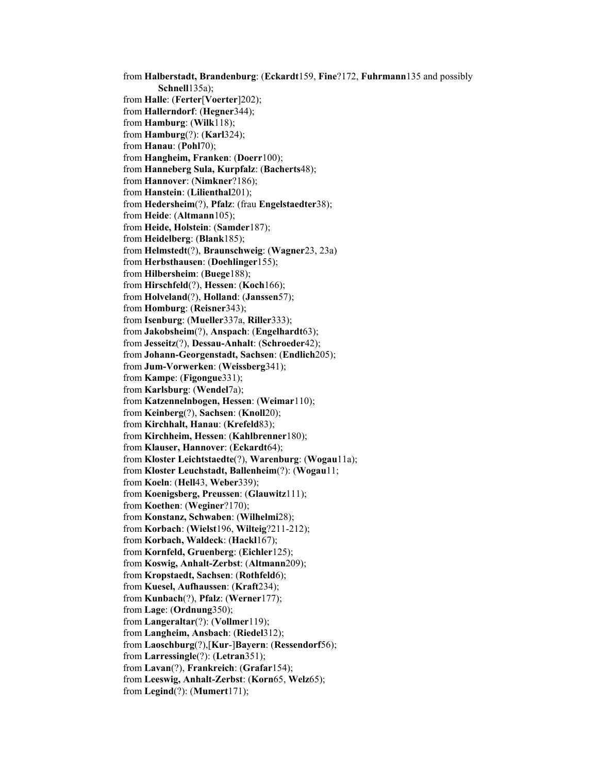from **Halberstadt, Brandenburg**: (**Eckardt**159, **Fine**?172, **Fuhrmann**135 and possibly **Schnell**135a); from **Halle**: (**Ferter**[**Voerter**]202); from **Hallerndorf**: (**Hegner**344); from **Hamburg**: (**Wilk**118); from **Hamburg**(?): (**Karl**324); from **Hanau**: (**Pohl**70); from **Hangheim, Franken**: (**Doerr**100); from **Hanneberg Sula, Kurpfalz**: (**Bacherts**48); from **Hannover**: (**Nimkner**?186); from **Hanstein**: (**Lilienthal**201); from **Hedersheim**(?), **Pfalz**: (frau **Engelstaedter**38); from **Heide**: (**Altmann**105); from **Heide, Holstein**: (**Samder**187); from **Heidelberg**: (**Blank**185); from **Helmstedt**(?), **Braunschweig**: (**Wagner**23, 23a) from **Herbsthausen**: (**Doehlinger**155); from **Hilbersheim**: (**Buege**188); from **Hirschfeld**(?), **Hessen**: (**Koch**166); from **Holveland**(?), **Holland**: (**Janssen**57); from **Homburg**: (**Reisner**343); from **Isenburg**: (**Mueller**337a, **Riller**333); from **Jakobsheim**(?), **Anspach**: (**Engelhardt**63); from **Jesseitz**(?), **Dessau-Anhalt**: (**Schroeder**42); from **Johann-Georgenstadt, Sachsen**: (**Endlich**205); from **Jum-Vorwerken**: (**Weissberg**341); from **Kampe**: (**Figongue**331); from **Karlsburg**: (**Wendel**7a); from **Katzennelnbogen, Hessen**: (**Weimar**110); from **Keinberg**(?), **Sachsen**: (**Knoll**20); from **Kirchhalt, Hanau**: (**Krefeld**83); from **Kirchheim, Hessen**: (**Kahlbrenner**180); from **Klauser, Hannover**: (**Eckardt**64); from **Kloster Leichtstaedte**(?), **Warenburg**: (**Wogau**11a); from **Kloster Leuchstadt, Ballenheim**(?): (**Wogau**11; from **Koeln**: (**Hell**43, **Weber**339); from **Koenigsberg, Preussen**: (**Glauwitz**111); from **Koethen**: (**Weginer**?170); from **Konstanz, Schwaben**: (**Wilhelmi**28); from **Korbach**: (**Wielst**196, **Wilteig**?211-212); from **Korbach, Waldeck**: (**Hackl**167); from **Kornfeld, Gruenberg**: (**Eichler**125); from **Koswig, Anhalt-Zerbst**: (**Altmann**209); from **Kropstaedt, Sachsen**: (**Rothfeld**6); from **Kuesel, Aufhaussen**: (**Kraft**234); from **Kunbach**(?), **Pfalz**: (**Werner**177); from **Lage**: (**Ordnung**350); from **Langeraltar**(?): (**Vollmer**119); from **Langheim, Ansbach**: (**Riedel**312); from **Laoschburg**(?),[**Kur**-]**Bayern**: (**Ressendorf**56); from **Larressingle**(?): (**Letran**351); from **Lavan**(?), **Frankreich**: (**Grafar**154); from **Leeswig, Anhalt-Zerbst**: (**Korn**65, **Welz**65); from **Legind**(?): (**Mumert**171);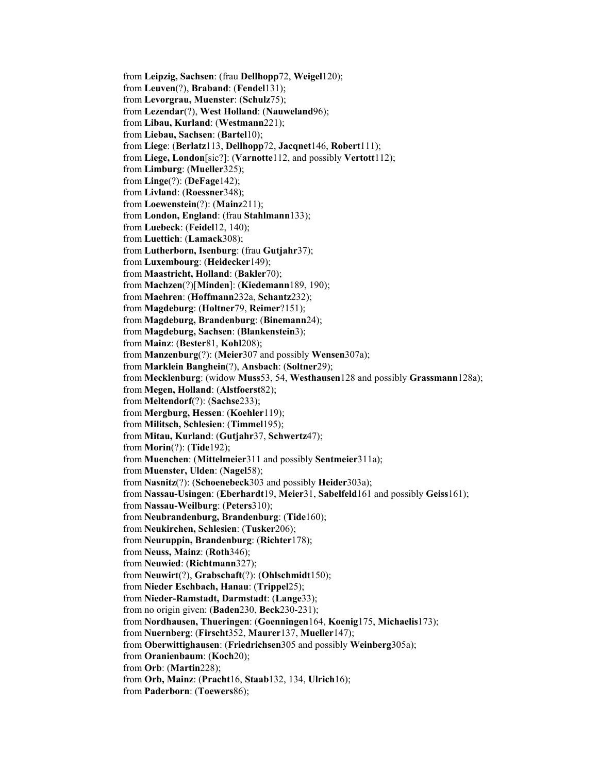from **Leipzig, Sachsen**: (frau **Dellhopp**72, **Weigel**120); from **Leuven**(?), **Braband**: (**Fendel**131); from **Levorgrau, Muenster**: (**Schulz**75); from **Lezendar**(?), **West Holland**: (**Nauweland**96); from **Libau, Kurland**: (**Westmann**221); from **Liebau, Sachsen**: (**Bartel**10); from **Liege**: (**Berlatz**113, **Dellhopp**72, **Jacqnet**146, **Robert**111); from **Liege, London**[sic?]: (**Varnotte**112, and possibly **Vertott**112); from **Limburg**: (**Mueller**325); from **Linge**(?): (**DeFage**142); from **Livland**: (**Roessner**348); from **Loewenstein**(?): (**Mainz**211); from **London, England**: (frau **Stahlmann**133); from **Luebeck**: (**Feidel**12, 140); from **Luettich**: (**Lamack**308); from **Lutherborn, Isenburg**: (frau **Gutjahr**37); from **Luxembourg**: (**Heidecker**149); from **Maastricht, Holland**: (**Bakler**70); from **Machzen**(?)[**Minden**]: (**Kiedemann**189, 190); from **Maehren**: (**Hoffmann**232a, **Schantz**232); from **Magdeburg**: (**Holtner**79, **Reimer**?151); from **Magdeburg, Brandenburg**: (**Binemann**24); from **Magdeburg, Sachsen**: (**Blankenstein**3); from **Mainz**: (**Bester**81, **Kohl**208); from **Manzenburg**(?): (**Meier**307 and possibly **Wensen**307a); from **Marklein Banghein**(?), **Ansbach**: (**Soltner**29); from **Mecklenburg**: (widow **Muss**53, 54, **Westhausen**128 and possibly **Grassmann**128a); from **Megen, Holland**: (**Alstfoerst**82); from **Meltendorf**(?): (**Sachse**233); from **Mergburg, Hessen**: (**Koehler**119); from **Militsch, Schlesien**: (**Timmel**195); from **Mitau, Kurland**: (**Gutjahr**37, **Schwertz**47); from **Morin**(?): (**Tide**192); from **Muenchen**: (**Mittelmeier**311 and possibly **Sentmeier**311a); from **Muenster, Ulden**: (**Nagel**58); from **Nasnitz**(?): (**Schoenebeck**303 and possibly **Heider**303a); from **Nassau-Usingen**: (**Eberhardt**19, **Meier**31, **Sabelfeld**161 and possibly **Geiss**161); from **Nassau-Weilburg**: (**Peters**310); from **Neubrandenburg, Brandenburg**: (**Tide**160); from **Neukirchen, Schlesien**: (**Tusker**206); from **Neuruppin, Brandenburg**: (**Richter**178); from **Neuss, Mainz**: (**Roth**346); from **Neuwied**: (**Richtmann**327); from **Neuwirt**(?), **Grabschaft**(?): (**Ohlschmidt**150); from **Nieder Eschbach, Hanau**: (**Trippel**25); from **Nieder-Ramstadt, Darmstadt**: (**Lange**33); from no origin given: (**Baden**230, **Beck**230-231); from **Nordhausen, Thueringen**: (**Goenningen**164, **Koenig**175, **Michaelis**173); from **Nuernberg**: (**Firscht**352, **Maurer**137, **Mueller**147); from **Oberwittighausen**: (**Friedrichsen**305 and possibly **Weinberg**305a); from **Oranienbaum**: (**Koch**20); from **Orb**: (**Martin**228); from **Orb, Mainz**: (**Pracht**16, **Staab**132, 134, **Ulrich**16); from **Paderborn**: (**Toewers**86);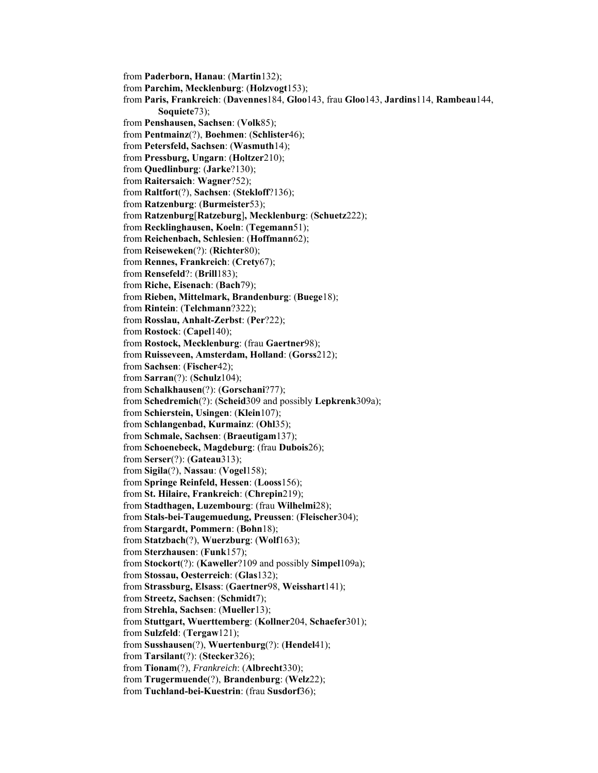from **Paderborn, Hanau**: (**Martin**132); from **Parchim, Mecklenburg**: (**Holzvogt**153); from **Paris, Frankreich**: (**Davennes**184, **Gloo**143, frau **Gloo**143, **Jardins**114, **Rambeau**144, **Soquiete**73); from **Penshausen, Sachsen**: (**Volk**85); from **Pentmainz**(?), **Boehmen**: (**Schlister**46); from **Petersfeld, Sachsen**: (**Wasmuth**14); from **Pressburg, Ungarn**: (**Holtzer**210); from **Quedlinburg**: (**Jarke**?130); from **Raitersaich**: **Wagner**?52); from **Raltfort**(?), **Sachsen**: (**Stekloff**?136); from **Ratzenburg**: (**Burmeister**53); from **Ratzenburg**[**Ratzeburg**]**, Mecklenburg**: (**Schuetz**222); from **Recklinghausen, Koeln**: (**Tegemann**51); from **Reichenbach, Schlesien**: (**Hoffmann**62); from **Reiseweken**(?): (**Richter**80); from **Rennes, Frankreich**: (**Crety**67); from **Rensefeld**?: (**Brill**183); from **Riche, Eisenach**: (**Bach**79); from **Rieben, Mittelmark, Brandenburg**: (**Buege**18); from **Rintein**: (**Telchmann**?322); from **Rosslau, Anhalt-Zerbst**: (**Per**?22); from **Rostock**: (**Capel**140); from **Rostock, Mecklenburg**: (frau **Gaertner**98); from **Ruisseveen, Amsterdam, Holland**: (**Gorss**212); from **Sachsen**: (**Fischer**42); from **Sarran**(?): (**Schulz**104); from **Schalkhausen**(?): (**Gorschani**?77); from **Schedremich**(?): (**Scheid**309 and possibly **Lepkrenk**309a); from **Schierstein, Usingen**: (**Klein**107); from **Schlangenbad, Kurmainz**: (**Ohl**35); from **Schmale, Sachsen**: (**Braeutigam**137); from **Schoenebeck, Magdeburg**: (frau **Dubois**26); from **Serser**(?): (**Gateau**313); from **Sigila**(?), **Nassau**: (**Vogel**158); from **Springe Reinfeld, Hessen**: (**Looss**156); from **St. Hilaire, Frankreich**: (**Chrepin**219); from **Stadthagen, Luzembourg**: (frau **Wilhelmi**28); from **Stals-bei-Taugemuedung, Preussen**: (**Fleischer**304); from **Stargardt, Pommern**: (**Bohn**18); from **Statzbach**(?), **Wuerzburg**: (**Wolf**163); from **Sterzhausen**: (**Funk**157); from **Stockort**(?): (**Kaweller**?109 and possibly **Simpel**109a); from **Stossau, Oesterreich**: (**Glas**132); from **Strassburg, Elsass**: (**Gaertner**98, **Weisshart**141); from **Streetz, Sachsen**: (**Schmidt**7); from **Strehla, Sachsen**: (**Mueller**13); from **Stuttgart, Wuerttemberg**: (**Kollner**204, **Schaefer**301); from **Sulzfeld**: (**Tergaw**121); from **Susshausen**(?), **Wuertenburg**(?): (**Hendel**41); from **Tarsilant**(?): (**Stecker**326); from **Tionam**(?), *Frankreich*: (**Albrecht**330); from **Trugermuende**(?), **Brandenburg**: (**Welz**22); from **Tuchland-bei-Kuestrin**: (frau **Susdorf**36);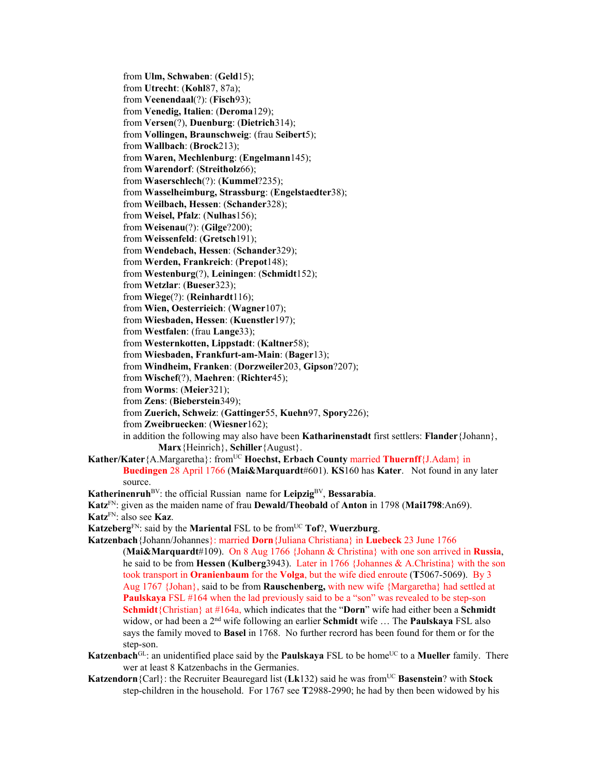from **Ulm, Schwaben**: (**Geld**15); from **Utrecht**: (**Kohl**87, 87a); from **Veenendaal**(?): (**Fisch**93); from **Venedig, Italien**: (**Deroma**129); from **Versen**(?), **Duenburg**: (**Dietrich**314); from **Vollingen, Braunschweig**: (frau **Seibert**5); from **Wallbach**: (**Brock**213); from **Waren, Mechlenburg**: (**Engelmann**145); from **Warendorf**: (**Streitholz**66); from **Waserschlech**(?): (**Kummel**?235); from **Wasselheimburg, Strassburg**: (**Engelstaedter**38); from **Weilbach, Hessen**: (**Schander**328); from **Weisel, Pfalz**: (**Nulhas**156); from **Weisenau**(?): (**Gilge**?200); from **Weissenfeld**: (**Gretsch**191); from **Wendebach, Hessen**: (**Schander**329); from **Werden, Frankreich**: (**Prepot**148); from **Westenburg**(?), **Leiningen**: (**Schmidt**152); from **Wetzlar**: (**Bueser**323); from **Wiege**(?): (**Reinhardt**116); from **Wien, Oesterrieich**: (**Wagner**107); from **Wiesbaden, Hessen**: (**Kuenstler**197); from **Westfalen**: (frau **Lange**33); from **Westernkotten, Lippstadt**: (**Kaltner**58); from **Wiesbaden, Frankfurt-am-Main**: (**Bager**13); from **Windheim, Franken**: (**Dorzweiler**203, **Gipson**?207); from **Wischef**(?), **Maehren**: (**Richter**45); from **Worms**: (**Meier**321); from **Zens**: (**Bieberstein**349); from **Zuerich, Schweiz**: (**Gattinger**55, **Kuehn**97, **Spory**226); from **Zweibruecken**: (**Wiesner**162); in addition the following may also have been **Katharinenstadt** first settlers: **Flander**{Johann}, **Marx**{Heinrich}, **Schiller**{August}. Kather/Kater{A.Margaretha}: from<sup>UC</sup> **Hoechst, Erbach County married Thuernff**{J.Adam} in **Buedingen** 28 April 1766 (**Mai&Marquardt**#601). **KS**160 has **Kater**.Not found in any later source. **Katherinenruh**BV: the official Russian name for **Leipzig**BV, **Bessarabia**. **Katz**FN: given as the maiden name of frau **Dewald/Theobald** of **Anton** in 1798 (**Mai1798**:An69). **Katz**FN: also see **Kaz**.

**Katzeberg**<sup>FN</sup>: said by the **Mariental** FSL to be from<sup>UC</sup> **Tof**?, **Wuerzburg**.

**Katzenbach**{Johann/Johannes}: married **Dorn**{Juliana Christiana} in **Luebeck** 23 June 1766 (**Mai&Marquardt**#109). On 8 Aug 1766 {Johann & Christina} with one son arrived in **Russia**, he said to be from **Hessen** (**Kulberg**3943). Later in 1766 {Johannes & A.Christina} with the son took transport in **Oranienbaum** for the **Volga**, but the wife died enroute (**T**5067-5069). By 3 Aug 1767 {Johan}, said to be from **Rauschenberg,** with new wife {Margaretha} had settled at **Paulskaya** FSL #164 when the lad previously said to be a "son" was revealed to be step-son **Schmidt**{Christian} at #164a, which indicates that the "**Dorn**" wife had either been a **Schmidt**  widow, or had been a 2nd wife following an earlier **Schmidt** wife … The **Paulskaya** FSL also says the family moved to **Basel** in 1768. No further recrord has been found for them or for the step-son.

- **Katzenbach**<sup>GL</sup>: an unidentified place said by the **Paulskaya** FSL to be home<sup>UC</sup> to a **Mueller** family. There wer at least 8 Katzenbachs in the Germanies.
- **Katzendorn**{Carl}: the Recruiter Beauregard list ( $Lk132$ ) said he was from<sup>UC</sup> **Basenstein**? with **Stock** step-children in the household. For 1767 see **T**2988-2990; he had by then been widowed by his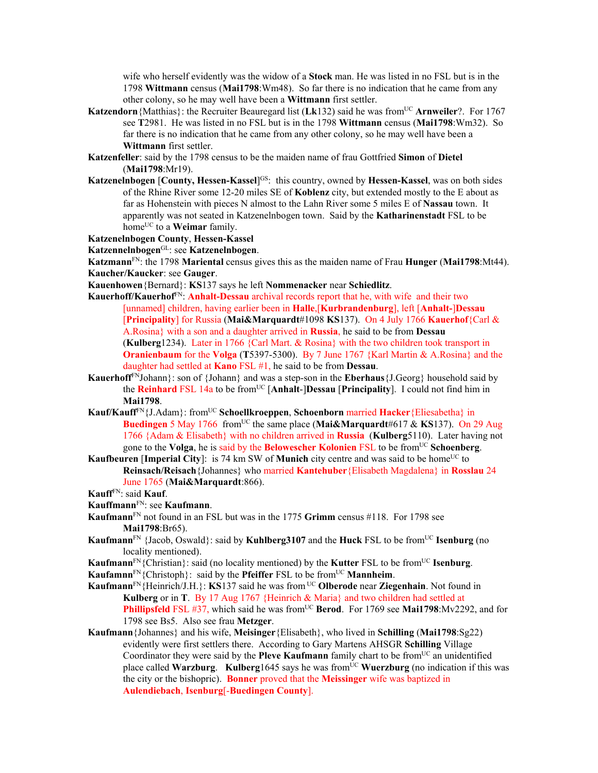wife who herself evidently was the widow of a **Stock** man. He was listed in no FSL but is in the 1798 **Wittmann** census (**Mai1798**:Wm48). So far there is no indication that he came from any other colony, so he may well have been a **Wittmann** first settler.

- **Katzendorn**{Matthias}: the Recruiter Beauregard list (Lk132) said he was from<sup>UC</sup> Arnweiler?. For 1767 see **T**2981. He was listed in no FSL but is in the 1798 **Wittmann** census (**Mai1798**:Wm32). So far there is no indication that he came from any other colony, so he may well have been a **Wittmann** first settler.
- **Katzenfeller**: said by the 1798 census to be the maiden name of frau Gottfried **Simon** of **Dietel** (**Mai1798**:Mr19).
- **Katzenelnbogen [County, Hessen-Kassel]<sup>GS</sup>:** this country, owned by **Hessen-Kassel**, was on both sides of the Rhine River some 12-20 miles SE of **Koblenz** city, but extended mostly to the E about as far as Hohenstein with pieces N almost to the Lahn River some 5 miles E of **Nassau** town. It apparently was not seated in Katzenelnbogen town. Said by the **Katharinenstadt** FSL to be home<sup>UC</sup> to a **Weimar** family.

#### **Katzenelnbogen County**, **Hessen-Kassel**

**Katzennelnbogen**GL: see **Katzenelnbogen**.

**Katzmann**FN: the 1798 **Mariental** census gives this as the maiden name of Frau **Hunger** (**Mai1798**:Mt44). **Kaucher/Kaucker**: see **Gauger**.

- **Kauenhowen**{Bernard}: **KS**137 says he left **Nommenacker** near **Schiedlitz**.
- **Kauerhoff/Kauerhof**FN: **Anhalt-Dessau** archival records report that he, with wife and their two [unnamed] children, having earlier been in **Halle**,[**Kurbrandenburg**], left [**Anhalt-**]**Dessau**  [**Principality**] for Russia (**Mai&Marquardt**#1098 **KS**137). On 4 July 1766 **Kauerhof**{Carl & A.Rosina} with a son and a daughter arrived in **Russia**, he said to be from **Dessau** (**Kulberg**1234). Later in 1766 {Carl Mart. & Rosina} with the two children took transport in **Oranienbaum** for the **Volga** (**T**5397-5300). By 7 June 1767 {Karl Martin & A.Rosina} and the daughter had settled at **Kano** FSL #1, he said to be from **Dessau**.
- **Kauerhoff**FNJohann}: son of {Johann} and was a step-son in the **Eberhaus**{J.Georg} household said by the **Reinhard** FSL 14a to be fromUC [**Anhalt**-]**Dessau** [**Principality**]. I could not find him in **Mai1798**.
- **Kauf/Kauff**FN{J.Adam}: fromUC **Schoellkroeppen**, **Schoenborn** married **Hacker**{Eliesabetha} in **Buedingen** 5 May 1766 from<sup>UC</sup> the same place (Mai&Marquardt#617 & KS137). On 29 Aug 1766 {Adam & Elisabeth} with no children arrived in **Russia** (**Kulberg**5110). Later having not gone to the **Volga**, he is said by the **Belowescher Kolonien** FSL to be fromUC **Schoenberg**.
- **Kaufbeuren** [Imperial City]: is 74 km SW of **Munich** city centre and was said to be home<sup>UC</sup> to **Reinsach/Reisach**{Johannes} who married **Kantehuber**{Elisabeth Magdalena} in **Rosslau** 24 June 1765 (**Mai&Marquardt**:866).

- **Kauffmann**FN: see **Kaufmann**.
- **Kaufmann**FN not found in an FSL but was in the 1775 **Grimm** census #118. For 1798 see **Mai1798**:Br65).
- **Kaufmann**<sup>FN</sup> {Jacob, Oswald}: said by **Kuhlberg3107** and the **Huck** FSL to be from<sup>UC</sup> **Isenburg** (no locality mentioned).
- **Kaufmann**<sup>FN</sup>{Christian}: said (no locality mentioned) by the **Kutter** FSL to be from<sup>UC</sup> **Isenburg**.

**Kaufamnn**<sup>FN</sup>{Christoph}: said by the **Pfeiffer** FSL to be from<sup>UC</sup> **Mannheim**.

- **Kaufmann**FN{Heinrich/J.H.}: **KS**137 said he was from UC **Olberode** near **Ziegenhain**. Not found in **Kulberg** or in **T**. By 17 Aug 1767 {Heinrich & Maria} and two children had settled at **Phillipsfeld** FSL #37, which said he was from<sup>UC</sup> **Berod**. For 1769 see **Mai1798**:Mv2292, and for 1798 see Bs5. Also see frau **Metzger**.
- **Kaufmann**{Johannes} and his wife, **Meisinger**{Elisabeth}, who lived in **Schilling** (**Mai1798**:Sg22) evidently were first settlers there. According to Gary Martens AHSGR **Schilling** Village Coordinator they were said by the **Pleve Kaufmann** family chart to be from<sup>UC</sup> an unidentified place called **Warzburg. Kulberg**1645 says he was from<sup>UC</sup> **Wuerzburg** (no indication if this was the city or the bishopric). **Bonner** proved that the **Meissinger** wife was baptized in **Aulendiebach**, **Isenburg**[-**Buedingen County**].

**Kauff**FN: said **Kauf**.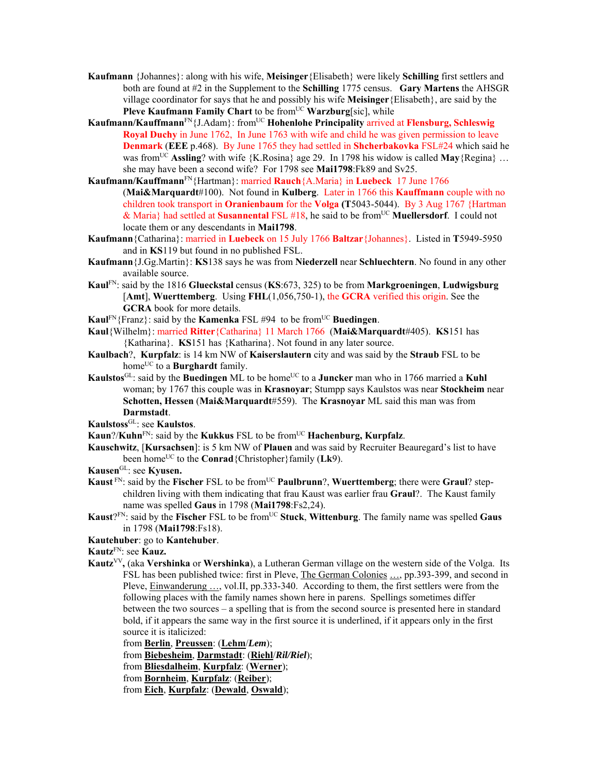- **Kaufmann** {Johannes}: along with his wife, **Meisinger**{Elisabeth} were likely **Schilling** first settlers and both are found at #2 in the Supplement to the **Schilling** 1775 census. **Gary Martens** the AHSGR village coordinator for says that he and possibly his wife **Meisinger**{Elisabeth}, are said by the **Pleve Kaufmann Family Chart** to be from<sup>UC</sup> **Warzburg**[sic], while
- **Kaufmann/Kauffmann**FN{J.Adam}: fromUC **Hohenlohe Principality** arrived at **Flensburg, Schleswig Royal Duchy** in June 1762, In June 1763 with wife and child he was given permission to leave **Denmark** (**EEE** p.468). By June 1765 they had settled in **Shcherbakovka** FSL#24 which said he was from<sup>UC</sup> **Assling**? with wife  ${K.Rosina}$  age 29. In 1798 his widow is called **May** ${Regina}$  ... she may have been a second wife? For 1798 see **Mai1798**:Fk89 and Sv25.
- **Kaufmann/Kauffmann**FN{Hartman}: married **Rauch**{A.Maria} in **Luebeck** 17 June 1766 (**Mai&Marquardt**#100). Not found in **Kulberg**. Later in 1766 this **Kauffmann** couple with no children took transport in **Oranienbaum** for the **Volga (T**5043-5044). By 3 Aug 1767 {Hartman & Maria} had settled at **Susannental** FSL #18, he said to be fromUC **Muellersdorf**. I could not locate them or any descendants in **Mai1798**.
- **Kaufmann**{Catharina}: married in **Luebeck** on 15 July 1766 **Baltzar**{Johannes}. Listed in **T**5949-5950 and in **KS**119 but found in no published FSL.
- **Kaufmann**{J.Gg.Martin}: **KS**138 says he was from **Niederzell** near **Schluechtern**. No found in any other available source.
- **Kaul**FN: said by the 1816 **Glueckstal** census (**KS**:673, 325) to be from **Markgroeningen**, **Ludwigsburg** [**Amt**], **Wuerttemberg**. Using **FHL**(1,056,750-1), the **GCRA** verified this origin. See the **GCRA** book for more details.
- **Kaul<sup>FN</sup>**{Franz}: said by the **Kamenka** FSL #94 to be from<sup>UC</sup> Buedingen.
- **Kaul**{Wilhelm}: married **Ritter**{Catharina} 11 March 1766 (**Mai&Marquardt**#405). **KS**151 has {Katharina}. **KS**151 has {Katharina}. Not found in any later source.
- **Kaulbach**?, **Kurpfalz**: is 14 km NW of **Kaiserslautern** city and was said by the **Straub** FSL to be home<sup>UC</sup> to a **Burghardt** family.
- **Kaulstos**<sup>GL</sup>: said by the **Buedingen** ML to be home<sup>UC</sup> to a **Juncker** man who in 1766 married a **Kuhl** woman; by 1767 this couple was in **Krasnoyar**; Stumpp says Kaulstos was near **Stockheim** near **Schotten, Hessen** (**Mai&Marquardt**#559). The **Krasnoyar** ML said this man was from **Darmstadt**.
- **Kaulstoss**GL: see **Kaulstos**.
- **Kaun**?/**Kuhn**<sup>FN</sup>: said by the **Kukkus** FSL to be from<sup>UC</sup> **Hachenburg, Kurpfalz**.
- **Kauschwitz**, [**Kursachsen**]: is 5 km NW of **Plauen** and was said by Recruiter Beauregard's list to have been home<sup>UC</sup> to the **Conrad**{Christopher}family (**Lk**9).
- **Kausen**GL: see **Kyusen.**
- **Kaust** FN: said by the **Fischer** FSL to be from<sup>UC</sup> **Paulbrunn**?, **Wuerttemberg**; there were **Graul**? stepchildren living with them indicating that frau Kaust was earlier frau **Graul**?. The Kaust family name was spelled **Gaus** in 1798 (**Mai1798**:Fs2,24).
- **Kaust**?FN: said by the **Fischer** FSL to be fromUC **Stuck**, **Wittenburg**. The family name was spelled **Gaus** in 1798 (**Mai1798**:Fs18).

#### **Kautehuber**: go to **Kantehuber**.

- **Kautz**FN: see **Kauz.**
- Kautz<sup>VV</sup>, (aka Vershinka or Wershinka), a Lutheran German village on the western side of the Volga. Its FSL has been published twice: first in Pleve, The German Colonies …, pp.393-399, and second in Pleve, Einwanderung …, vol.II, pp.333-340. According to them, the first settlers were from the following places with the family names shown here in parens. Spellings sometimes differ between the two sources – a spelling that is from the second source is presented here in standard bold, if it appears the same way in the first source it is underlined, if it appears only in the first source it is italicized:
	- from **Berlin**, **Preussen**: (**Lehm**/*Lem*);
	- from **Biebesheim**, **Darmstadt**: (**Riehl**/*Ril/Riel*);
	- from **Bliesdalheim**, **Kurpfalz**: (**Werner**);
	- from **Bornheim**, **Kurpfalz**: (**Reiber**);
	- from **Eich**, **Kurpfalz**: (**Dewald**, **Oswald**);